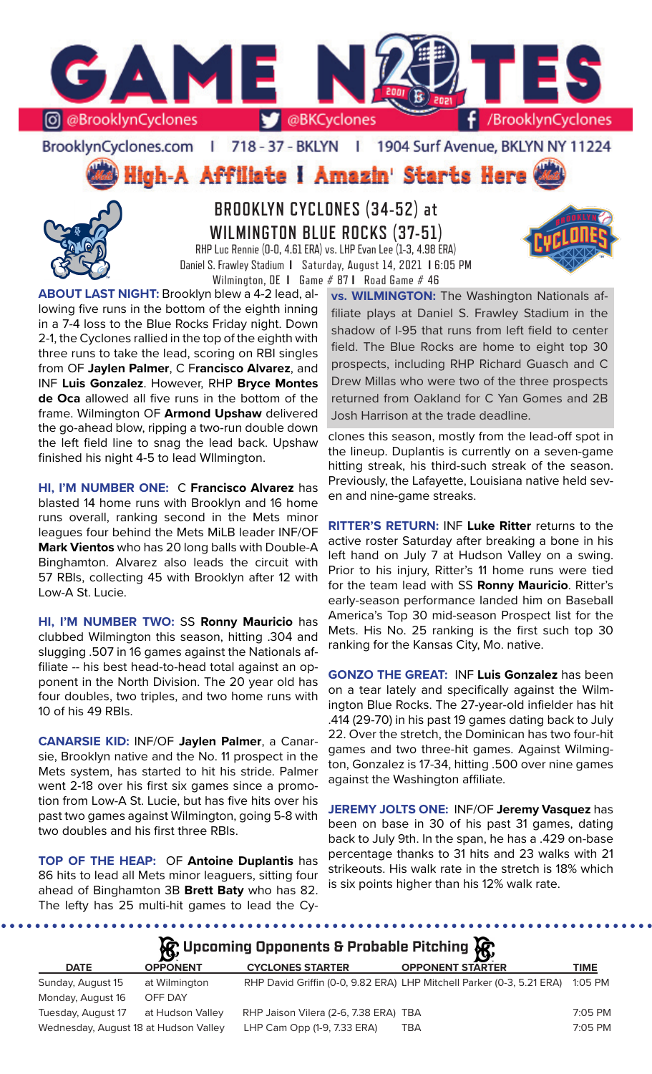

### BrooklynCyclones.com | 718 - 37 - BKLYN | 1904 Surf Avenue, BKLYN NY 11224

**High-A Affiliate I Amazin' Starts Here** 



**BROOKLYN CYCLONES (34-52) at WILMINGTON BLUE ROCKS (37-51)** RHP Luc Rennie (0-0, 4.61 ERA) vs. LHP Evan Lee (1-3, 4.98 ERA) Daniel S. Frawley Stadium **I** Saturday, August 14, 2021 **I** 6:05 PM

Wilmington, DE **I** Game # 87 **I** Road Game # 46



**ABOUT LAST NIGHT:** Brooklyn blew a 4-2 lead, allowing five runs in the bottom of the eighth inning in a 7-4 loss to the Blue Rocks Friday night. Down 2-1, the Cyclones rallied in the top of the eighth with three runs to take the lead, scoring on RBI singles from OF **Jaylen Palmer**, C F**rancisco Alvarez**, and INF **Luis Gonzalez**. However, RHP **Bryce Montes de Oca** allowed all five runs in the bottom of the frame. Wilmington OF **Armond Upshaw** delivered the go-ahead blow, ripping a two-run double down the left field line to snag the lead back. Upshaw finished his night 4-5 to lead WIlmington.

**HI, I'M NUMBER ONE:** C **Francisco Alvarez** has blasted 14 home runs with Brooklyn and 16 home runs overall, ranking second in the Mets minor leagues four behind the Mets MiLB leader INF/OF **Mark Vientos** who has 20 long balls with Double-A Binghamton. Alvarez also leads the circuit with 57 RBIs, collecting 45 with Brooklyn after 12 with Low-A St. Lucie.

**HI, I'M NUMBER TWO:** SS **Ronny Mauricio** has clubbed Wilmington this season, hitting .304 and slugging .507 in 16 games against the Nationals affiliate -- his best head-to-head total against an opponent in the North Division. The 20 year old has four doubles, two triples, and two home runs with 10 of his 49 RBIs.

**CANARSIE KID:** INF/OF **Jaylen Palmer**, a Canarsie, Brooklyn native and the No. 11 prospect in the Mets system, has started to hit his stride. Palmer went 2-18 over his first six games since a promotion from Low-A St. Lucie, but has five hits over his past two games against Wilmington, going 5-8 with two doubles and his first three RBIs.

**TOP OF THE HEAP:** OF **Antoine Duplantis** has 86 hits to lead all Mets minor leaguers, sitting four ahead of Binghamton 3B **Brett Baty** who has 82. The lefty has 25 multi-hit games to lead the Cy-

**vs. WILMINGTON:** The Washington Nationals affiliate plays at Daniel S. Frawley Stadium in the shadow of I-95 that runs from left field to center field. The Blue Rocks are home to eight top 30 prospects, including RHP Richard Guasch and C Drew Millas who were two of the three prospects returned from Oakland for C Yan Gomes and 2B Josh Harrison at the trade deadline.

clones this season, mostly from the lead-off spot in the lineup. Duplantis is currently on a seven-game hitting streak, his third-such streak of the season. Previously, the Lafayette, Louisiana native held seven and nine-game streaks.

**RITTER'S RETURN:** INF **Luke Ritter** returns to the active roster Saturday after breaking a bone in his left hand on July 7 at Hudson Valley on a swing. Prior to his injury, Ritter's 11 home runs were tied for the team lead with SS **Ronny Mauricio**. Ritter's early-season performance landed him on Baseball America's Top 30 mid-season Prospect list for the Mets. His No. 25 ranking is the first such top 30 ranking for the Kansas City, Mo. native.

**GONZO THE GREAT:** INF **Luis Gonzalez** has been on a tear lately and specifically against the Wilmington Blue Rocks. The 27-year-old infielder has hit .414 (29-70) in his past 19 games dating back to July 22. Over the stretch, the Dominican has two four-hit games and two three-hit games. Against Wilmington, Gonzalez is 17-34, hitting .500 over nine games against the Washington affiliate.

**JEREMY JOLTS ONE:** INF/OF **Jeremy Vasquez** has been on base in 30 of his past 31 games, dating back to July 9th. In the span, he has a .429 on-base percentage thanks to 31 hits and 23 walks with 21 strikeouts. His walk rate in the stretch is 18% which is six points higher than his 12% walk rate.

**Upcoming Opponents & Probable Pitching**

| $\mathbf{Q}$                          |                  |                                       |                                                                       |           |  |
|---------------------------------------|------------------|---------------------------------------|-----------------------------------------------------------------------|-----------|--|
| <b>DATE</b>                           | <b>OPPONENT</b>  | <b>CYCLONES STARTER</b>               | <b>OPPONENT STARTER</b>                                               | TIME      |  |
| Sunday, August 15                     | at Wilmington    |                                       | RHP David Griffin (0-0, 9.82 ERA) LHP Mitchell Parker (0-3, 5.21 ERA) | 1:05 PM   |  |
| Monday, August 16                     | OFF DAY          |                                       |                                                                       |           |  |
| Tuesday, August 17                    | at Hudson Valley | RHP Jaison Vilera (2-6, 7.38 ERA) TBA |                                                                       | $7:05$ PM |  |
| Wednesday, August 18 at Hudson Valley |                  | LHP Cam Opp (1-9, 7.33 ERA)           | <b>TBA</b>                                                            | 7:05 PM   |  |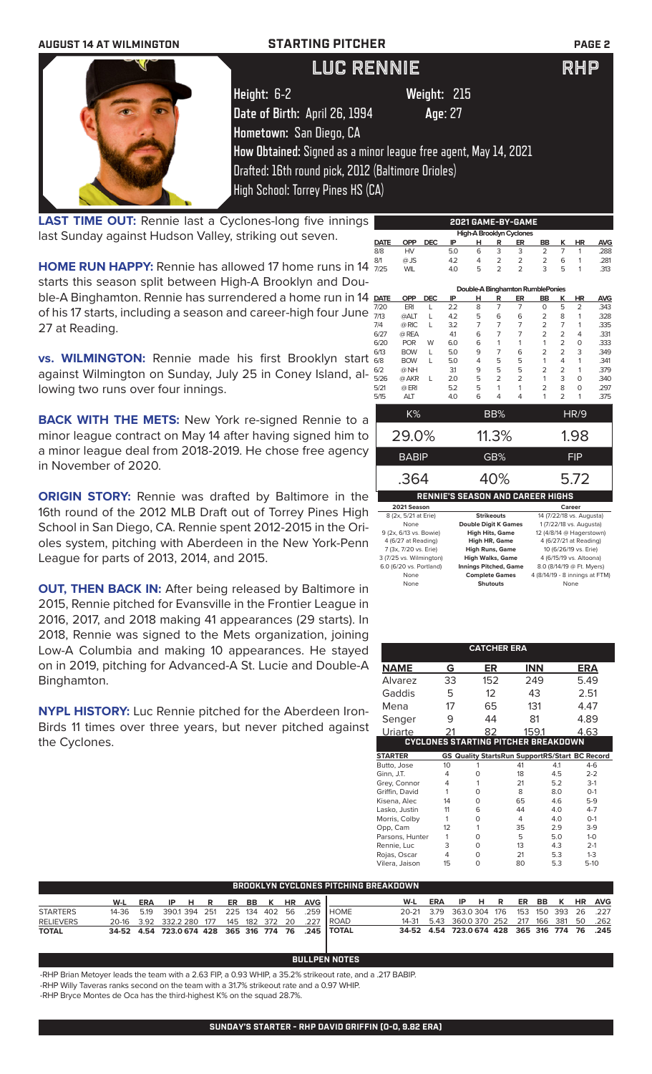

**LAST TIME OUT:** Rennie last a Cyclones-long five innings last Sunday against Hudson Valley, striking out seven.

**HOME RUN HAPPY:** Rennie has allowed 17 home runs in 14  $\frac{a}{l}$ starts this season split between High-A Brooklyn and Double-A Binghamton. Rennie has surrendered a home run in 14 **D** of his 17 starts, including a season and career-high four June  $\frac{1}{n}$ 27 at Reading.

**vs. WILMINGTON:** Rennie made his first Brooklyn start against Wilmington on Sunday, July 25 in Coney Island, allowing two runs over four innings.

**BACK WITH THE METS:** New York re-signed Rennie to a minor league contract on May 14 after having signed him to a minor league deal from 2018-2019. He chose free agency in November of 2020.

**ORIGIN STORY:** Rennie was drafted by Baltimore in the 16th round of the 2012 MLB Draft out of Torrey Pines High School in San Diego, CA. Rennie spent 2012-2015 in the Orioles system, pitching with Aberdeen in the New York-Penn League for parts of 2013, 2014, and 2015.

**OUT, THEN BACK IN:** After being released by Baltimore in 2015, Rennie pitched for Evansville in the Frontier League in 2016, 2017, and 2018 making 41 appearances (29 starts). In 2018, Rennie was signed to the Mets organization, joining Low-A Columbia and making 10 appearances. He stayed on in 2019, pitching for Advanced-A St. Lucie and Double-A Binghamton.

**NYPL HISTORY:** Luc Rennie pitched for the Aberdeen Iron-Birds 11 times over three years, but never pitched against the Cyclones.

| 2021 GAME-BY-GAME |                                  |            |     |   |                   |                                  |                |                          |                          |            |
|-------------------|----------------------------------|------------|-----|---|-------------------|----------------------------------|----------------|--------------------------|--------------------------|------------|
|                   | <b>High-A Brooklyn Cyclones</b>  |            |     |   |                   |                                  |                |                          |                          |            |
| <b>DATE</b>       | <b>OPP</b>                       | <b>DEC</b> | IP  | н | R                 | ER                               | <b>BB</b>      | κ                        | <b>HR</b>                | <b>AVG</b> |
| 8/8               | HV                               |            | 5.0 | 6 | 3                 | 3                                | $\overline{2}$ | 7                        | 1                        | .288       |
| 8/1               | $@$ JS                           |            | 4.2 | 4 | 2                 | $\overline{2}$                   | $\overline{2}$ | 6                        | 1                        | .281       |
| 7/25              | <b>WIL</b>                       |            | 4.0 | 5 | $\mathfrak{D}$    | $\overline{\phantom{0}}$         | 3              | 5                        | 1                        | .313       |
|                   |                                  |            |     |   |                   | Double-A Binghamton RumblePonies |                |                          |                          |            |
| <b>DATE</b>       | <b>OPP</b>                       | <b>DEC</b> | IP  | н | R                 | ER                               | <b>BB</b>      | K                        | <b>HR</b>                | <b>AVG</b> |
| 7/20              | ERI                              | L          | 2.2 | 8 | 7                 | $\overline{7}$                   | $\Omega$       | 5                        | $\overline{2}$           | .343       |
| 7/13              | @ALT                             | L          | 4.2 | 5 | 6                 | 6                                | 2              | 8                        | 1                        | .328       |
| 7/4               | @ RIC                            | L          | 3.2 | 7 | 7                 | $\overline{7}$                   | $\overline{2}$ | 7                        | 1                        | .335       |
| 6/27              | @ REA                            |            | 41  | 6 | $\overline{7}$    | $\overline{7}$                   | $\overline{2}$ | $\overline{2}$           | 4                        | .331       |
| 6/20              | <b>POR</b>                       | W          | 6.0 | 6 | 1                 | 1                                | 1              | $\overline{2}$           | 0                        | .333       |
| 6/13              | <b>BOW</b>                       | L          | 5.0 | 9 | 7                 | 6                                | $\overline{2}$ | $\overline{2}$           | 3                        | .349       |
| 6/8               | <b>BOW</b>                       | L          | 5.0 | 4 | 5                 | 5                                | 1              | 4                        | 1                        | .341       |
| 6/2               | @ NH                             |            | 31  | 9 | 5                 | 5                                | $\overline{2}$ | $\overline{2}$           | 1                        | .379       |
| 5/26              | @ AKR                            | L          | 2.0 | 5 | $\overline{2}$    | $\overline{2}$                   | 1              | 3                        | 0                        | .340       |
| 5/21              | $@$ ERI                          |            | 5.2 | 5 | 1                 | 1                                | $\overline{2}$ | 8                        | 0                        | .297       |
| 5/15              | <b>ALT</b>                       |            | 4.0 | 6 | 4                 | 4                                | 1              | $\overline{\phantom{0}}$ | 1                        | .375       |
|                   | K%                               |            |     |   | BB%               |                                  |                |                          | HR/9                     |            |
|                   | 29.0%                            |            |     |   | 11.3%             |                                  |                |                          |                          |            |
|                   |                                  |            |     |   |                   |                                  |                |                          | 1.98                     |            |
|                   | <b>BABIP</b>                     |            |     |   | GB%               |                                  |                |                          | <b>FIP</b>               |            |
|                   | .364                             |            |     |   | 40%               |                                  |                |                          | 5.72                     |            |
|                   | RENNIE'S SEASON AND CAREER HIGHS |            |     |   |                   |                                  |                |                          |                          |            |
|                   | 2021 Season                      |            |     |   |                   |                                  |                |                          | Career                   |            |
|                   | 8 (2x, 5/21 at Erie)             |            |     |   | <b>Strikeouts</b> |                                  |                |                          | 14 (7/22/18 vs. Augusta) |            |

| 8 (2x, 5/21 at Erie)    | <b>Strikeouts</b>            | 14 (7/22/18 vs. Augusta)       |
|-------------------------|------------------------------|--------------------------------|
| None                    | <b>Double Digit K Games</b>  | 1 (7/22/18 vs. Augusta)        |
| 9 (2x, 6/13 vs. Bowie)  | <b>High Hits, Game</b>       | 12 (4/8/14 @ Hagerstown)       |
| 4 (6/27 at Reading)     | High HR, Game                | 4 (6/27/21 at Reading)         |
| 7 (3x, 7/20 vs. Erie)   | <b>High Runs, Game</b>       | 10 (6/26/19 vs. Erie)          |
| 3 (7/25 vs. Wilmington) | <b>High Walks, Game</b>      | 4 (6/15/19 vs. Altoona)        |
| 6.0 (6/20 vs. Portland) | <b>Innings Pitched, Game</b> | 8.0 (8/14/19 @ Ft. Myers)      |
| None                    | <b>Complete Games</b>        | 4 (8/14/19 - 8 innings at FTM) |
| None                    | <b>Shutouts</b>              | None                           |

|                 |    | <b>CATCHER ERA</b> |                                            |     |                                                       |
|-----------------|----|--------------------|--------------------------------------------|-----|-------------------------------------------------------|
| <b>NAME</b>     | G  | ER                 | <b>INN</b>                                 |     | ERA                                                   |
| Alvarez         | 33 | 152                | 249                                        |     | 5.49                                                  |
| Gaddis          | 5  | 12                 | 43                                         |     | 2.51                                                  |
| Mena            | 17 | 65                 | 131                                        |     | 4.47                                                  |
| Senger          | 9  | 44                 | 81                                         |     | 4.89                                                  |
| Uriarte         |    | 82                 | 159.1                                      |     | 4.63                                                  |
|                 |    |                    | <b>CYCLONES STARTING PITCHER BREAKDOWN</b> |     |                                                       |
| <b>STARTER</b>  |    |                    |                                            |     | <b>GS Quality StartsRun SupportRS/Start BC Record</b> |
| Butto, Jose     | 10 |                    | 41                                         | 4.1 | $4-6$                                                 |
| Ginn, J.T.      | 4  | 0                  | 18                                         | 4.5 | $2 - 2$                                               |
| Grey, Connor    | 4  | 1                  | 21                                         | 5.2 | $3-1$                                                 |
| Griffin, David  | 1  | O                  | 8                                          | 8.0 | $O-1$                                                 |
| Kisena, Alec    | 14 | O                  | 65                                         | 46  | $5-9$                                                 |
| Lasko, Justin   | 11 | 6                  | 44                                         | 4.0 | $4 - 7$                                               |
| Morris, Colby   | 1  | O                  | 4                                          | 4.0 | $O-1$                                                 |
| Opp, Cam        | 12 | 1                  | 35                                         | 2.9 | $3-9$                                                 |
| Parsons, Hunter | 1  | O                  | 5                                          | 5.0 | $1 - 0$                                               |
| Rennie, Luc     | 3  | O                  | 13                                         | 4.3 | $2 - 1$                                               |
| Rojas, Oscar    | 4  | 0                  | 21                                         | 5.3 | $1 - 3$                                               |
| Vilera, Jaison  | 15 | 0                  | 80                                         | 5.3 | $5-10$                                                |

| ' BROOKLYN CYCLONES PITCHING BREAKDOWN . |  |  |  |  |  |  |  |  |  |                               |                                                             |                                                       |                               |  |  |  |  |
|------------------------------------------|--|--|--|--|--|--|--|--|--|-------------------------------|-------------------------------------------------------------|-------------------------------------------------------|-------------------------------|--|--|--|--|
|                                          |  |  |  |  |  |  |  |  |  | W-L ERA IP H R ER BB K HR AVG |                                                             |                                                       | W-L ERA IP H R ER BB K HR AVG |  |  |  |  |
| <b>STARTERS</b>                          |  |  |  |  |  |  |  |  |  |                               | 14-36  5.19  390.1  394  251  225  134  402  56  .259  HOME | 20-21 3.79 363.0304 176 153 150 393 26 .227           |                               |  |  |  |  |
| <b>RELIEVERS</b>                         |  |  |  |  |  |  |  |  |  |                               | 20-16 3.92 332.2 280 177 145 182 372 20 .227 ROAD           | 14-31  5.43  360.0  370  252  217  166  381  50  .262 |                               |  |  |  |  |
| <b>TOTAL</b>                             |  |  |  |  |  |  |  |  |  |                               | 34-52 4.54 723.0 674 428 365 316 774 76 .245 TOTAL          | 34-52 4.54 723.0 674 428 365 316 774 76 .245          |                               |  |  |  |  |

## **BULLPEN NOTES**

-RHP Brian Metoyer leads the team with a 2.63 FIP, a 0.93 WHIP, a 35.2% strikeout rate, and a .217 BABIP.

-RHP Willy Taveras ranks second on the team with a 31.7% strikeout rate and a 0.97 WHIP.

-RHP Bryce Montes de Oca has the third-highest K% on the squad 28.7%.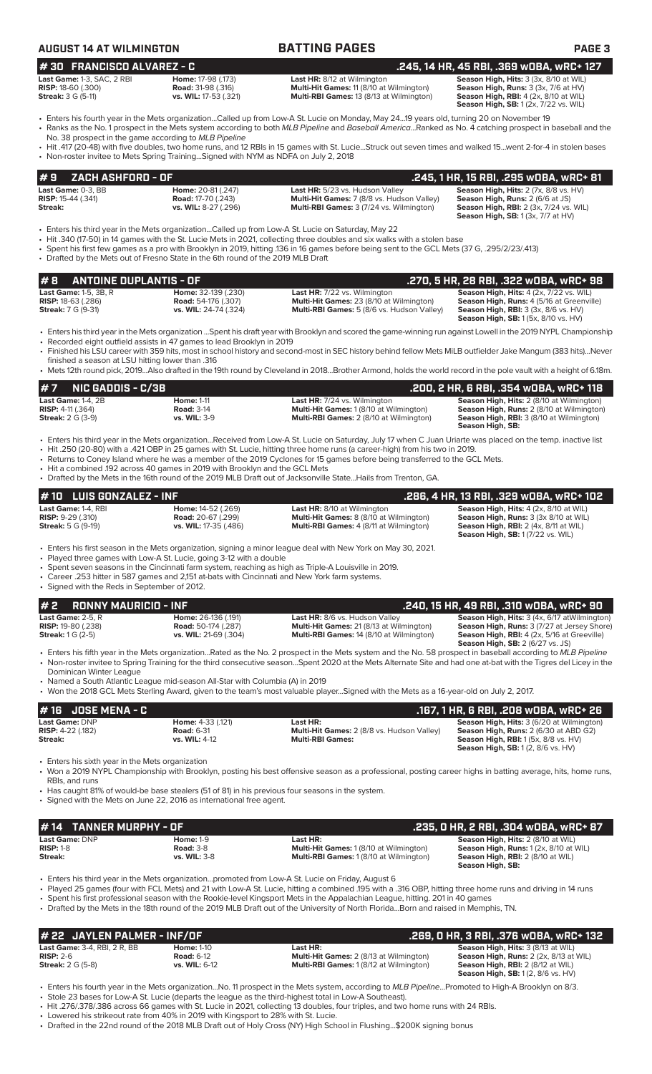## **AUGUST 14 AT WILMINGTON BATTING PAGES PAGE 3**

## **# 30 FRANCISCO ALVAREZ - C .245, 14 HR, 45 RBI, .369 wOBA, wRC+ 127**

| <b>Last Game: 1-3, SAC, 2</b> |  |
|-------------------------------|--|
| <b>RISP:</b> 18-60 (.300)     |  |
| <b>Streak:</b> 3 G (5-11)     |  |

**Last HR:** 8/12 at Wilmington **Season High, Hits:** 3 (3x, 8/10 at WIL)<br> **Road:** 31-98 (.316) **Multi-Hit Games:** 11 (8/10 at Wilmington) **Season High, Runs:** 3 (3x, 7/6 at HV) **Road:** 31-98 (.316) **Road:** *R***ulti-Hit Games:** 11 (8/10 at Wilmington)<br>**vs. WIL:** 17-53 (.321) **Season High, Runs: At All Alt Alt Hull, And Hull, And Hull, 1980 Streak:** 3 G (5-11) **vs. WIL:** 17-53 (.321) **Multi-RBI Games:** 13 (8/13 at Wilmington) **Season High, RBI:** 4 (2x, 8/10 at WIL)

**Season High, SB:** 1 (2x, 7/22 vs. WIL)

- Enters his fourth year in the Mets organization...Called up from Low-A St. Lucie on Monday, May 24...19 years old, turning 20 on November 19 • Ranks as the No. 1 prospect in the Mets system according to both *MLB Pipeline* and *Baseball America*...Ranked as No. 4 catching prospect in baseball and the
- No. 38 prospect in the game according to *MLB Pipeline* • Hit .417 (20-48) with five doubles, two home runs, and 12 RBIs in 15 games with St. Lucie...Struck out seven times and walked 15...went 2-for-4 in stolen bases
- Non-roster invitee to Mets Spring Training...Signed with NYM as NDFA on July 2, 2018

### **Last Game: 0-3, BB Home: 20-81 (.247) Last HR:** 5/23 vs. Hudson Valley **Season High, Hits: 2 (7x, 8/8 vs. HV)**<br> **RISP:** 15-44 (.341) **Road: 17-70 (.243) Multi-Hit Games: 7 (8/8 vs. Hudson Valley) Season High, Runs RISP:** 15-44 (.341) **Road:** 17-70 (.243) **Multi-Hit Games:** 7 (8/8 vs. Hudson Valley) **Season High, Runs:** 2 (6/6 at JS) **Season High, RBI:** 2 (3x, 7/24 vs. WIL) **Season High, SB:** 1 (3x, 7/7 at HV) **# 9 ZACH ASHFORD - OF .245, 1 HR, 15 RBI, .295 wOBA, wRC+ 81**

- Enters his third year in the Mets organization...Called up from Low-A St. Lucie on Saturday, May 22
- Hit .340 (17-50) in 14 games with the St. Lucie Mets in 2021, collecting three doubles and six walks with a stolen base
- Spent his first few games as a pro with Brooklyn in 2019, hitting .136 in 16 games before being sent to the GCL Mets (37 G, .295/2/23/.413) • Drafted by the Mets out of Fresno State in the 6th round of the 2019 MLB Draft

**# 8 ANTOINE DUPLANTIS - OF .270, 5 HR, 28 RBI, .322 wOBA, wRC+ 98 Last Game:** 1-5, 3B, R **Home:** 32-139 (.230) **Last HR:** 7/22 vs. Wilmington **Season High, Hits:** 4 (2x, 7/22 vs. WIL) **RISP:** 18-63 (.286) **Road:** 54-176 (.307) **Multi-Hit Games:** 23 (8/10 at Wilmington) **Season High, Runs:** 4 (5/16 at Greenville) **Streak:** 7 G (9-31) **vs. WIL:** 24-74 (.324) **Multi-RBI Games:** 5 (8/6 vs. Hudson Valley) **Season High, RBI:** 3 (3x, 8/6 vs. HV) **Season High, SB:** 1 (5x, 8/10 vs. HV) • Enters his third year in the Mets organization ...Spent his draft year with Brooklyn and scored the game-winning run against Lowell in the 2019 NYPL Championship • Recorded eight outfield assists in 47 games to lead Brooklyn in 2019

- Finished his LSU career with 359 hits, most in school history and second-most in SEC history behind fellow Mets MiLB outfielder Jake Mangum (383 hits)...Never finished a season at LSU hitting lower than .316
- Mets 12th round pick, 2019...Also drafted in the 19th round by Cleveland in 2018...Brother Armond, holds the world record in the pole vault with a height of 6.18m.

| # 7       NIC GADDIS - C/3B |                     |                                                | .200, 2 HR, 6 RBI, .354 wOBA, wRC+ 118                              |
|-----------------------------|---------------------|------------------------------------------------|---------------------------------------------------------------------|
| Last Game: $1-4$ . $2B$     | <b>Home: 1-11</b>   | <b>Last HR:</b> 7/24 vs. Wilmington            | <b>Season High, Hits: 2 (8/10 at Wilmington)</b>                    |
| <b>RISP:</b> $4-11$ (.364)  | <b>Road: 3-14</b>   | <b>Multi-Hit Games:</b> 1 (8/10 at Wilmington) | <b>Season High, Runs:</b> 2 (8/10 at Wilmington)                    |
| <b>Streak:</b> 2 G (3-9)    | <b>vs. WIL: 3-9</b> | <b>Multi-RBI Games:</b> 2 (8/10 at Wilmington) | <b>Season High, RBI:</b> 3 (8/10 at Wilmington)<br>Season High, SB: |

- Enters his third year in the Mets organization...Received from Low-A St. Lucie on Saturday, July 17 when C Juan Uriarte was placed on the temp. inactive list • Hit .250 (20-80) with a .421 OBP in 25 games with St. Lucie, hitting three home runs (a career-high) from his two in 2019.
	- Returns to Coney Island where he was a member of the 2019 Cyclones for 15 games before being transferred to the GCL Mets.
	- Hit a combined .192 across 40 games in 2019 with Brooklyn and the GCL Mets
	- Drafted by the Mets in the 16th round of the 2019 MLB Draft out of Jacksonville State...Hails from Trenton, GA.

## **Last Game: 1-4, RBI <b>Home: 14-52** (.269) **Last HR:** 8/10 at Wilmington **Season High, Hits: 4** (2x, 8/10 at WIL)<br> **RISP:** 9-29 (.310) **Road: 20-67 (.299) Multi-Hit Games: 8 (8/10 at Wilmington) Season High, Runs: 3 (3x RISP:** 9-29 (.310) **Road:** 20-67 (.299) **Multi-Hit Games:** 8 (8/10 at Wilmington) **Season High, Runs:** 3 (3x 8/10 at WIL) **Streak: 5** G (9-19) **vs. WIL:** 17-35 (.486) **Multi-RBI Games:** 4 (8/11 at Wilmington) **Streak:** 5 G (9-19) **Season High, SB:** 1 (7/22 vs. WIL) **# 10 LUIS GONZALEZ - INF .286, 4 HR, 13 RBI, .329 wOBA, wRC+ 102**

• Enters his first season in the Mets organization, signing a minor league deal with New York on May 30, 2021.

- Played three games with Low-A St. Lucie, going 3-12 with a double
- Spent seven seasons in the Cincinnati farm system, reaching as high as Triple-A Louisville in 2019. • Career .253 hitter in 587 games and 2,151 at-bats with Cincinnati and New York farm systems.
- Signed with the Reds in September of 2012.

**# 2 RONNY MAURICIO - INF .**<br> **19 Last Game:** 2-5, R **... Home:** 26-136 (.191) **... Last HR:** 8/6 vs. Hudson Valley **... (240, 15 HR, 49 RBI, .310 wOBA, wRC+ 90<br>
<b>RISP:** 19-80 (.238) Road: 50-174 (.287) Multi-Hit Games **Last Game:** 2-5, R **Home:** 26-136 (.191) **Last HR:** 8/6 vs. Hudson Valley **Season High, Hits:** 3 (4x, 6/17 atWilmington) **RISP:** 19-80 (.238) **Road:** 50-174 (.287) **Multi-Hit Games:** 21 (8/13 at Wilmington) **Season High, Runs:** 3 (7/27 at Jersey Shore) **Streak:** 1 G (2-5) **vs. WIL:** 21-69 (.304) **Multi-RBI Games:** 14 (8/10 at Wilmington) **Season High, RBI:** 4 (2x, 5/16 at Greeville) **Season High, SB:** 2 (6/27 vs. JS)

- Enters his fifth year in the Mets organization...Rated as the No. 2 prospect in the Mets system and the No. 58 prospect in baseball according to *MLB Pipeline* • Non-roster invitee to Spring Training for the third consecutive season...Spent 2020 at the Mets Alternate Site and had one at-bat with the Tigres del Licey in the Dominican Winter League
- Named a South Atlantic League mid-season All-Star with Columbia (A) in 2019
- Won the 2018 GCL Mets Sterling Award, given to the team's most valuable player...Signed with the Mets as a 16-year-old on July 2, 2017.

### **# 16 JOSE MENA - C .167, 1 HR, 6 RBI, .208 wOBA, wRC+ 26 Last Game:** DNP **Home:** 4-33 (.121) **Last HR: Season High, Hits:** 3 (6/20 at Wilmington) **RISP:**  $4-22$  (.182) **Road:**  $6-31$  **Multi-Hit Games:** 2 (8/8 vs. Hudson Valley) **Streak: Nulti-Runs: Multi-Runs: Multi-Runs: Multi-Runs: Multi-Runs: Multi-Runs: Multi-Runs: Multi-Runs: Multi-Runs: Season High, RBI:** 1 (5x, 8/8 vs. HV) **Season High, SB:** 1 (2, 8/6 vs. HV)

Enters his sixth year in the Mets organization

• Won a 2019 NYPL Championship with Brooklyn, posting his best offensive season as a professional, posting career highs in batting average, hits, home runs, RBIs, and runs

- Has caught 81% of would-be base stealers (51 of 81) in his previous four seasons in the system.
- Signed with the Mets on June 22, 2016 as international free agent.

| #14 TANNER MURPHY - OF        |                                      |                                                            | . .235, 0 HR, 2 RBI, .304 w0BA, wRC+ 87 '                                           |
|-------------------------------|--------------------------------------|------------------------------------------------------------|-------------------------------------------------------------------------------------|
| Last Game: DNP<br>$RISP: 1-8$ | <b>Home: 1-9</b><br><b>Road: 3-8</b> | Last HR:<br><b>Multi-Hit Games:</b> 1 (8/10 at Wilmington) | Season High, Hits: 2 (8/10 at WIL)<br><b>Season High, Runs: 1 (2x, 8/10 at WIL)</b> |
| Streak:                       | <b>vs. WIL: 3-8</b>                  | <b>Multi-RBI Games: 1(8/10 at Wilmington)</b>              | <b>Season High, RBI:</b> 2 (8/10 at WIL)<br>Season High, SB:                        |

- Enters his third year in the Mets organization...promoted from Low-A St. Lucie on Friday, August 6
- Played 25 games (four with FCL Mets) and 21 with Low-A St. Lucie, hitting a combined .195 with a .316 OBP, hitting three home runs and driving in 14 runs
- Spent his first professional season with the Rookie-level Kingsport Mets in the Appalachian League, hitting. 201 in 40 games • Drafted by the Mets in the 18th round of the 2019 MLB Draft out of the University of North Florida...Born and raised in Memphis, TN.

| # 22 JAYLEN PALMER - INF/OF         |                   |                                                | .269. O HR. 3 RBI. .376 wOBA. wRC+ 132        |
|-------------------------------------|-------------------|------------------------------------------------|-----------------------------------------------|
| <b>Last Game: 3-4, RBI, 2 R, BB</b> | <b>Home: 1-10</b> | Last HR:                                       | <b>Season High, Hits: 3 (8/13 at WIL)</b>     |
| $RISP: 2-6$                         | <b>Road: 6-12</b> | <b>Multi-Hit Games:</b> 2 (8/13 at Wilmington) | <b>Season High, Runs:</b> 2 (2x, 8/13 at WIL) |
| <b>Streak: 2 G (5-8)</b>            | vs. WIL: 6-12     | <b>Multi-RBI Games: 1(8/12 at Wilmington)</b>  | <b>Season High, RBI:</b> 2 (8/12 at WIL)      |
|                                     |                   |                                                | <b>Season High, SB:</b> 1(2, 8/6 vs. HV)      |

- Enters his fourth year in the Mets organization...No. 11 prospect in the Mets system, according to *MLB Pipeline*...Promoted to High-A Brooklyn on 8/3. • Stole 23 bases for Low-A St. Lucie (departs the league as the third-highest total in Low-A Southeast).
- Hit .276/.378/.386 across 66 games with St. Lucie in 2021, collecting 13 doubles, four triples, and two home runs with 24 RBIs.
- Lowered his strikeout rate from 40% in 2019 with Kingsport to 28% with St. Lucie.
- Drafted in the 22nd round of the 2018 MLB Draft out of Holy Cross (NY) High School in Flushing...\$200K signing bonus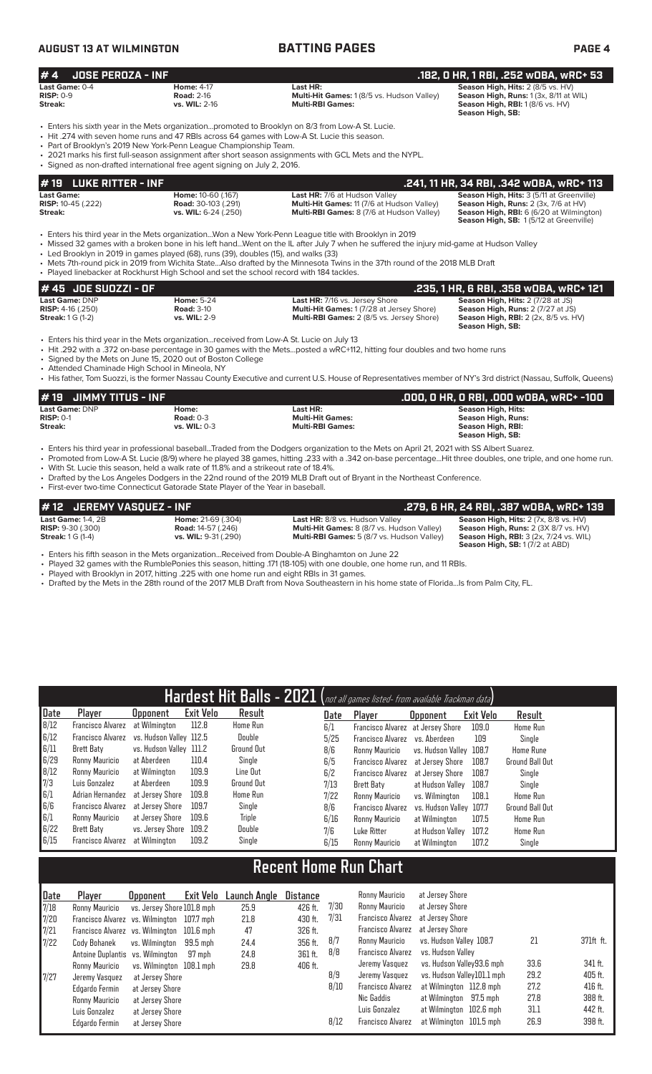# **AUGUST 13 AT WILMINGTON BATTING PAGES PAGE 4**

**# 19 LUKE RITTER - INF**<br> **139 Last Game: 10-60 (.167)** Last HR: 7/6 at Hudson Valley **.241, 11 HR, 34 RBI, .342 wDBA, wRC+ 113**<br>
RISP: 10-45 (.222) Road: 30-103 (.291) Multi-Hit Games: 11 (7/6 at Hudson Valley) Season Hig **Last Game: Home:** 10-60 (.167) **Last HR:** 7/6 at Hudson Valley **Season High, Hits:** 3 (5/11 at Greenville) **RISP:** 10-45 (.222) **Road:** 30-103 (.291) **Multi-Hit Games:** 11 (7/6 at Hudson Valley) **Streak: vs. WIL:** 6-24 (.250) **Multi-RBI Games:** 8 (7/6 at Hudson Valley) **Season High, RBI:** 6 (6/20 at Wilmington) **Season High, SB:** 1 (5/12 at Greenville) • Enters his third year in the Mets organization...Won a New York-Penn League title with Brooklyn in 2019 • Missed 32 games with a broken bone in his left hand...Went on the IL after July 7 when he suffered the injury mid-game at Hudson Valley Led Brooklyn in 2019 in games played (68), runs (39), doubles (15), and walks (33) • Mets 7th-round pick in 2019 from Wichita State...Also drafted by the Minnesota Twins in the 37th round of the 2018 MLB Draft • Played linebacker at Rockhurst High School and set the school record with 184 tackles. **# 45 JOE SUOZZI - OF .234 .235, 1 HR, 6 RBI, .358 wOBA, wRC+ 121**<br>Last Game: DNP **.235, 1 HOME:** 5-24 **.235, 1 HOME: 5-24** Last HR: 7/16 vs. Jersey Shore **.235, 1 HR, 6 RBI, .358 wOBA, wRC+ 121**<br>RISP: 4-16 (.250) **RIS Last Game:** DNP **Home:** 5-24 **Last HR:** 7/16 vs. Jersey Shore **Season High, Hits:** 2 (7/28 at JS) **RISP:** 4-16 (.250) **Road:** 3-10 **Multi-Hit Games:** 1 (7/28 at Jersey Shore) **Season High, Runs:** 2 (7/27 at JS) **Streak:** 1 G (1-2) **vs. WIL:** 2-9 **Multi-RBI Games:** 2 (8/5 vs. Jersey Shore) **Season High, RBI:** 2 (2x, 8/5 vs. HV) **Season High, SB:**  • Enters his third year in the Mets organization...received from Low-A St. Lucie on July 13 **# 4 JOSE PEROZA - INF .182, 0 HR, 1 RBI, .252 wOBA, wRC+ 53 Last Game:** 0-4 **Home:** 4-17 **Last HR: Season High, Hits:** 2 (8/5 vs. HV) **RISP:** 0-9 **Road:** 2-16 **Multi-Hit Games:** 1 (8/5 vs. Hudson Valley) **Season High, Runs:** 1 (3x, 8/11 at WIL) **Streak: vs. WIL:** 2-16 **Multi-RBI Games: Season High, RBI:** 1 (8/6 vs. HV) **Season High, SB:**  • Enters his sixth year in the Mets organization...promoted to Brooklyn on 8/3 from Low-A St. Lucie. • Hit .274 with seven home runs and 47 RBIs across 64 games with Low-A St. Lucie this season. • Part of Brooklyn's 2019 New York-Penn League Championship Team. • 2021 marks his first full-season assignment after short season assignments with GCL Mets and the NYPL. • Signed as non-drafted international free agent signing on July 2, 2016.

• Hit .292 with a .372 on-base percentage in 30 games with the Mets...posted a wRC+112, hitting four doubles and two home runs

• Signed by the Mets on June 15, 2020 out of Boston College

• Attended Chaminade High School in Mineola, NY

• His father, Tom Suozzi, is the former Nassau County Executive and current U.S. House of Representatives member of NY's 3rd district (Nassau, Suffolk, Queens)

| $# 19$ JIMMY TITUS - INF |                  |                         | .000, 0 HR, 0 RBI, .000 w0BA, wRC+ -100 |
|--------------------------|------------------|-------------------------|-----------------------------------------|
| Last Game: DNP           | Home:            | Last HR:                | Season High, Hits:                      |
| $RISP: 0-1$              | <b>Road: 0-3</b> | <b>Multi-Hit Games:</b> | Season High, Runs:                      |
| Streak:                  | vs. WIL: $0-3$   | <b>Multi-RBI Games:</b> | Season High, RBI:                       |
|                          |                  |                         | Season High, SB:                        |

• Enters his third year in professional baseball...Traded from the Dodgers organization to the Mets on April 21, 2021 with SS Albert Suarez.

• Promoted from Low-A St. Lucie (8/9) where he played 38 games, hitting .233 with a .342 on-base percentage...Hit three doubles, one triple, and one home run. • With St. Lucie this season, held a walk rate of 11.8% and a strikeout rate of 18.4%.

• Drafted by the Los Angeles Dodgers in the 22nd round of the 2019 MLB Draft out of Bryant in the Northeast Conference.

• First-ever two-time Connecticut Gatorade State Player of the Year in baseball.

| $\#$ 12 $\,$ JEREMY VASOUEZ - INF |                             | .279, 6 HR, 24 RBI, .387 wOBA, wRC+ 139           |                                               |  |  |  |
|-----------------------------------|-----------------------------|---------------------------------------------------|-----------------------------------------------|--|--|--|
| <b>Last Game: 1-4, 2B</b>         | <b>Home: 21-69 (.304)</b>   | Last HR: 8/8 vs. Hudson Valley                    | Season High, Hits: 2 (7x, 8/8 vs. HV)         |  |  |  |
| <b>RISP:</b> $9-30$ (.300)        | <b>Road:</b> 14-57 (.246)   | <b>Multi-Hit Games:</b> 8 (8/7 vs. Hudson Valley) | Season High, Runs: 2 (3X 8/7 vs. HV)          |  |  |  |
| <b>Streak:</b> 1 G (1-4)          | <b>vs. WIL:</b> 9-31 (.290) | <b>Multi-RBI Games:</b> 5 (8/7 vs. Hudson Valley) | <b>Season High, RBI: 3 (2x, 7/24 vs. WIL)</b> |  |  |  |
|                                   |                             |                                                   | <b>Season High, SB: 1 (7/2 at ABD)</b>        |  |  |  |

• Enters his fifth season in the Mets organization...Received from Double-A Binghamton on June 22

• Played 32 games with the RumblePonies this season, hitting .171 (18-105) with one double, one home run, and 11 RBIs.

Played with Brooklyn in 2017, hitting .225 with one home run and eight RBIs in 31 games.

• Drafted by the Mets in the 28th round of the 2017 MLB Draft from Nova Southeastern in his home state of Florida...Is from Palm City, FL.

|      | Hardest Hit Balls - 2021 (not all games listed- from available Trackman data) |                            |                  |                   |                 |      |                              |                   |                  |                  |
|------|-------------------------------------------------------------------------------|----------------------------|------------------|-------------------|-----------------|------|------------------------------|-------------------|------------------|------------------|
| Date | Player                                                                        | <b>Opponent</b>            | <b>Exit Velo</b> | Result            |                 | Date | Player                       | <b>Opponent</b>   | <b>Exit Velo</b> | Result           |
| 8/12 | <b>Francisco Alvarez</b>                                                      | at Wilmington              | 112.8            | <b>Home Run</b>   |                 | 6/1  | Francisco Alvarez            | at Jersey Shore   | 109.0            | Home Run         |
| 6/12 | <b>Francisco Alvarez</b>                                                      | vs. Hudson Valley 112.5    |                  | Double            |                 | 5/25 | <b>Francisco Alvarez</b>     | vs. Aberdeen      | 109              | Single           |
| 6/11 | Brett Baty                                                                    | vs. Hudson Vallev          | 111.2            | <b>Ground Out</b> |                 | 8/6  | Ronny Mauricio               | vs. Hudson Valley | 108.7            | <b>Home Rune</b> |
| 6/29 | Ronny Mauricio                                                                | at Aberdeen                | 110.4            | Single            |                 | 6/5  | Francisco Alvarez            | at Jersey Shore   | 108.7            | Ground Ball Out  |
| 8/12 | Ronny Mauricio                                                                | at Wilmington              | 109.9            | Line Out          |                 | 6/2  | Francisco Alvarez            | at Jersey Shore   | 108.7            | Single           |
| 7/3  | Luis Gonzalez                                                                 | at Aberdeen                | 109.9            | <b>Ground Out</b> |                 | 7/13 | Brett Baty                   | at Hudson Vallev  | 108.7            | Single           |
| 6/1  | Adrian Hernandez                                                              | at Jersev Shore            | 109.8            | <b>Home Run</b>   |                 | 7/22 | Ronny Mauricio               | vs. Wilmington    | 108.1            | Home Run         |
| 6/6  | <b>Francisco Alvarez</b>                                                      | at Jersey Shore            | 109.7            | Single            |                 | 8/6  | <b>Francisco Alvarez</b>     | vs. Hudson Valley | 107.7            | Ground Ball Out  |
| 6/1  | Ronny Mauricio                                                                | at Jersey Shore            | 109.6            | Triple            |                 | 6/16 | Ronny Mauricio               | at Wilmington     | 107.5            | Home Run         |
| 6/22 | Brett Baty                                                                    | vs. Jersey Shore           | 109.2            | Double            |                 | 7/6  | Luke Ritter                  | at Hudson Valley  | 107.2            | Home Run         |
| 6/15 | <b>Francisco Alvarez</b>                                                      | at Wilmington              | 109.2            | Single            |                 | 6/15 | Ronny Mauricio               | at Wilmington     | 107.2            | Single           |
|      |                                                                               |                            |                  |                   |                 |      |                              |                   |                  |                  |
|      |                                                                               |                            |                  |                   |                 |      | <b>Recent Home Run Chart</b> |                   |                  |                  |
| Date | Player                                                                        | <b>Opponent</b>            | Exit Velo        | Launch Angle      | <b>Distance</b> |      | Ronny Mauricio               | at Jersey Shore   |                  |                  |
| 7/18 | Ronny Mauricio                                                                | vs. Jersey Shore 101.8 mph |                  | 25.9              | 426 ft.         | 7/30 | Ronny Mauricio               | at Jersey Shore   |                  |                  |

| Date | Plaver                           | <b>Opponent</b>            | Exit Velo | Launch Angle | Distance |      | Ronny Mauricio           | at Jersey Shore            |      |           |
|------|----------------------------------|----------------------------|-----------|--------------|----------|------|--------------------------|----------------------------|------|-----------|
| 7/18 | Ronny Mauricio                   | vs. Jersey Shore 101.8 mph |           | 25.9         | 426 ft.  | 7/30 | Ronny Mauricio           | at Jersey Shore            |      |           |
| 7/20 | Francisco Alvarez vs. Wilmington |                            | 107.7 mph | 21.8         | 430 ft.  | 7/31 | Francisco Alvarez        | at Jersev Shore            |      |           |
| 7/21 | Francisco Alvarez vs. Wilmington |                            | 101.6 mph | 47           | 326 ft.  |      | Francisco Alvarez        | at Jersev Shore            |      |           |
| 7/22 | Cody Bohanek                     | vs. Wilmington             | 99.5 mph  | 24.4         | 356 ft.  | 8/7  | Ronny Mauricio           | vs. Hudson Valley 108.7    | 21   | 371ft ft. |
|      | Antoine Duplantis vs. Wilmington |                            | 97 mph    | 24.8         | 361 ft.  | 8/8  | <b>Francisco Alvarez</b> | vs. Hudson Vallev          |      |           |
|      | Ronny Mauricio                   | vs. Wilminaton 108.1 mph   |           | 29.8         | 406 ft.  |      | Jeremy Vasquez           | vs. Hudson Valley93.6 mph  | 33.6 | 341 ft.   |
| 7/27 | Jeremy Vasquez                   | at Jersev Shore            |           |              |          | 8/9  | Jeremy Vasquez           | vs. Hudson Valley101.1 mph | 29.2 | 405 ft.   |
|      | Edgardo Fermin                   | at Jersev Shore            |           |              |          | 8/10 | <b>Francisco Alvarez</b> | at Wilmington 112.8 mph    | 27.2 | 416 ft.   |
|      | Ronny Mauricio                   | at Jersey Shore            |           |              |          |      | Nic Gaddis               | at Wilmington 97.5 mph     | 27.8 | 388 ft.   |
|      | Luis Gonzalez                    | at Jersey Shore            |           |              |          |      | Luis Gonzalez            | at Wilmington 102.6 mph    | 31.1 | 442 ft.   |
|      | Edgardo Fermin                   | at Jersey Shore            |           |              |          | 8/12 | <b>Francisco Alvarez</b> | at Wilmington 101.5 mph    | 26.9 | 398 ft.   |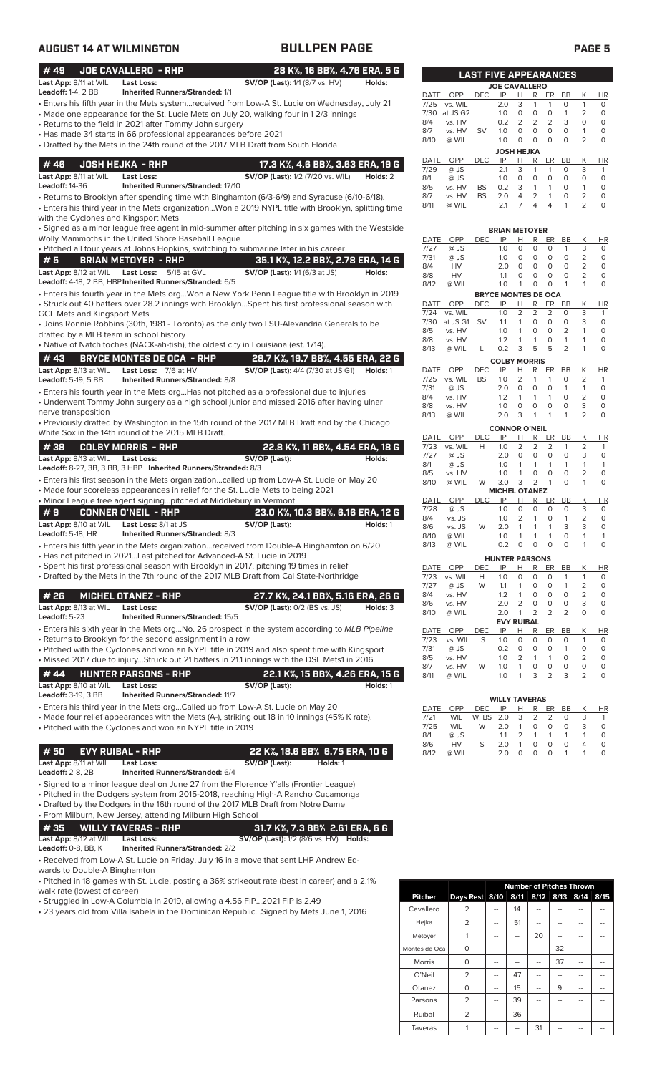| <b>AUGUST 14 AT WILMINGTON</b>                                                                                                                                                                                                                                                                                                                                                                                                                                                                                                                                                                                                                                                                                                              |                                                                           |                                                                                                        | <b>BULLPEN PAGE</b>                                                                        |                                                                           |                                                                                                    |                                      |                                                                         |                                                                                                                                                                                                                                             |                                                                                                       |                                                                                                                   | <b>PAGE 5</b>                                                                                                    |                                                                                                               |
|---------------------------------------------------------------------------------------------------------------------------------------------------------------------------------------------------------------------------------------------------------------------------------------------------------------------------------------------------------------------------------------------------------------------------------------------------------------------------------------------------------------------------------------------------------------------------------------------------------------------------------------------------------------------------------------------------------------------------------------------|---------------------------------------------------------------------------|--------------------------------------------------------------------------------------------------------|--------------------------------------------------------------------------------------------|---------------------------------------------------------------------------|----------------------------------------------------------------------------------------------------|--------------------------------------|-------------------------------------------------------------------------|---------------------------------------------------------------------------------------------------------------------------------------------------------------------------------------------------------------------------------------------|-------------------------------------------------------------------------------------------------------|-------------------------------------------------------------------------------------------------------------------|------------------------------------------------------------------------------------------------------------------|---------------------------------------------------------------------------------------------------------------|
| JOE CAVALLERO - RHP<br>#49<br>Last App: 8/11 at WIL<br><b>Last Loss:</b>                                                                                                                                                                                                                                                                                                                                                                                                                                                                                                                                                                                                                                                                    | <b>Inherited Runners/Stranded: 1/1</b>                                    | <b>SV/OP (Last):</b> 1/1 (8/7 vs. HV)                                                                  | 28 K%, 16 BB%, 4.76 ERA, 5 G<br>Holds:                                                     |                                                                           |                                                                                                    |                                      |                                                                         | <b>LAST FIVE APPEARANCES</b><br><b>JOE CAVALLERO</b>                                                                                                                                                                                        |                                                                                                       |                                                                                                                   |                                                                                                                  |                                                                                                               |
| <b>Leadoff: 1-4, 2 BB</b><br>Enters his fifth year in the Mets systemreceived from Low-A St. Lucie on Wednesday, July 21<br>• Made one appearance for the St. Lucie Mets on July 20, walking four in 12/3 innings<br>• Returns to the field in 2021 after Tommy John surgery<br>• Has made 34 starts in 66 professional appearances before 2021<br>• Drafted by the Mets in the 24th round of the 2017 MLB Draft from South Florida                                                                                                                                                                                                                                                                                                         |                                                                           |                                                                                                        |                                                                                            | DATE<br>7/25<br>7/30<br>8/4<br>8/7<br>8/10                                | OPP<br>vs. WIL<br>at JS G2<br>vs. HV<br>vs. HV<br>@ WIL                                            | DEC.<br><b>SV</b>                    | IP<br>2.0<br>1.0<br>0.2<br>1.0<br>1.0                                   | R<br>Н<br>3<br>1<br>$\circ$<br>$\circ$<br>2<br>2<br>$\circ$<br>0<br>$\circ$<br>0<br><b>JOSH HEJKA</b>                                                                                                                                       | ER<br>1<br>$\circ$<br>2<br>$\circ$<br>$\circ$                                                         | BB<br>$\circ$<br>$\mathbf{1}$<br>3<br>$\circ$<br>$\circ$                                                          | Κ<br>$\mathbf{1}$<br>$\overline{2}$<br>$\circ$<br>$\mathbf{1}$<br>2                                              | <b>HR</b><br>$\circ$<br>$\circ$<br>$\mathbf 0$<br>$\mathsf{O}\xspace$<br>$\circ$                              |
| #46<br><b>JOSH HEJKA - RHP</b><br>Last App: 8/11 at WIL<br><b>Last Loss:</b><br><b>Leadoff: 14-36</b><br>· Returns to Brooklyn after spending time with Binghamton (6/3-6/9) and Syracuse (6/10-6/18).<br>. Enters his third year in the Mets organizationWon a 2019 NYPL title with Brooklyn, splitting time<br>with the Cyclones and Kingsport Mets                                                                                                                                                                                                                                                                                                                                                                                       | Inherited Runners/Stranded: 17/10                                         | <b>SV/OP (Last):</b> 1/2 (7/20 vs. WIL)                                                                | 17.3 K%, 4.6 BB%, 3.63 ERA, 19 G<br>Holds: 2                                               | DATE<br>7/29<br>8/1<br>8/5<br>8/7<br>8/11                                 | OPP<br>@ JS<br>@ JS<br>vs. HV<br>vs. HV<br>@ WIL                                                   | <b>DEC</b><br><b>BS</b><br><b>BS</b> | IP<br>2.1<br>1.0<br>0.2<br>2.0<br>2.1                                   | Н<br>R<br>3<br>$\mathbf{1}$<br>$\circ$<br>0<br>3<br>$\mathbf{1}$<br>$\overline{2}$<br>$\overline{4}$<br>$\overline{7}$<br>$\overline{4}$                                                                                                    | ER<br>1<br>$\circ$<br>$\mathbf{1}$<br>$\mathbf{1}$<br>$\overline{4}$                                  | BB<br>$\circ$<br>$\circ$<br>$\circ$<br>$\circ$<br>1                                                               | K<br>3<br>$\circ$<br>$\mathbf{1}$<br>$\overline{2}$<br>2                                                         | HR<br>$\mathbf{1}$<br>$\circ$<br>$\mathsf O$<br>$\circ$<br>$\Omega$                                           |
| · Signed as a minor league free agent in mid-summer after pitching in six games with the Westside<br>Wolly Mammoths in the United Shore Baseball League<br>. Pitched all four years at Johns Hopkins, switching to submarine later in his career.<br>#5<br><b>BRIAN METOYER - RHP</b><br>Last App: 8/12 at WIL Last Loss: 5/15 at GVL<br>Leadoff: 4-18, 2 BB, HBP Inherited Runners/Stranded: 6/5<br>· Enters his fourth year in the Mets orgWon a New York Penn League title with Brooklyn in 2019<br>· Struck out 40 batters over 28.2 innings with BrooklynSpent his first professional season with<br><b>GCL Mets and Kingsport Mets</b><br>• Joins Ronnie Robbins (30th, 1981 - Toronto) as the only two LSU-Alexandria Generals to be |                                                                           | <b>SV/OP (Last):</b> 1/1 (6/3 at JS)                                                                   | 35.1 K%, 12.2 BB%, 2.78 ERA, 14 G<br>Holds:                                                | DATE<br>7/27<br>7/31<br>8/4<br>8/8<br>8/12<br>DATE<br>7/24<br>7/30<br>8/5 | OPP<br>@ JS<br>@ JS<br>HV<br>HV<br>@ WIL<br>OPP<br>vs. WIL<br>at JS G1 SV<br>vs. HV                | DEC.<br><b>DEC</b>                   | IP<br>1.0<br>1.0<br>2.0<br>1.1<br>1.0<br>IP<br>1.0<br>1.1<br>1.0        | <b>BRIAN METOYER</b><br>R<br>н<br>$\circ$<br>0<br>$\circ$<br>0<br>$\circ$<br>$\circ$<br>0<br>0<br>$\mathbf 0$<br>1<br><b>BRYCE MONTES DE OCA</b><br>н<br>R<br>2<br>2<br>0<br>$\mathbf{1}$<br>$\mathbf 0$<br>$\overline{1}$                  | ER<br>$\circ$<br>0<br>$\circ$<br>0<br>0<br>ER<br>$\overline{2}$<br>0<br>$\circ$                       | BB<br>$\mathbf{1}$<br>$\circ$<br>$\circ$<br>$\circ$<br>$\mathbf{1}$<br>BB<br>$\circ$<br>$\circ$<br>$\overline{2}$ | К<br>3<br>$\overline{2}$<br>$\overline{2}$<br>$\overline{2}$<br>$\mathbf{1}$<br>Κ<br>3<br>3<br>$\mathbf{1}$      | HR<br>$\circ$<br>$\mathsf O$<br>$\circ$<br>$\circ$<br>$\circ$<br>HR<br>$\mathbf{1}$<br>O<br>$\circ$           |
| drafted by a MLB team in school history<br>• Native of Natchitoches (NACK-ah-tish), the oldest city in Louisiana (est. 1714).<br>#43<br><b>BRYCE MONTES DE OCA - RHP</b>                                                                                                                                                                                                                                                                                                                                                                                                                                                                                                                                                                    |                                                                           |                                                                                                        | 28.7 K%, 19.7 BB%, 4.55 ERA, 22 G                                                          | 8/8<br>8/13                                                               | vs. HV<br>@ WIL                                                                                    | L                                    | 1.2<br>0.2                                                              | $\mathbf{1}$<br>$\mathbf{1}$<br>5<br>3<br><b>COLBY MORRIS</b>                                                                                                                                                                               | $\circ$<br>5                                                                                          | $\mathbf{1}$<br>$\overline{2}$                                                                                    | $\mathbf{1}$<br>$\mathbf{1}$                                                                                     | $\mathbf 0$<br>$\Omega$                                                                                       |
| Last App: 8/13 at WIL<br>Leadoff: 5-19, 5 BB<br>• Enters his fourth year in the Mets orgHas not pitched as a professional due to injuries<br>• Underwent Tommy John surgery as a high school junior and missed 2016 after having ulnar<br>nerve transposition<br>• Previously drafted by Washington in the 15th round of the 2017 MLB Draft and by the Chicago<br>White Sox in the 14th round of the 2015 MLB Draft.                                                                                                                                                                                                                                                                                                                        | Last Loss: 7/6 at HV<br><b>Inherited Runners/Stranded: 8/8</b>            | <b>SV/OP (Last):</b> 4/4 (7/30 at JS G1) <b>Holds:</b> 1                                               |                                                                                            | 7/25<br>7/31<br>8/4<br>8/8<br>8/13                                        | DATE OPP<br>vs. WIL<br>@ JS<br>vs. HV<br>vs. HV<br>@ WIL                                           | <b>DEC</b><br><b>BS</b>              | IP<br>1.0<br>2.0<br>1.2<br>1.0<br>2.0                                   | R<br>Н<br>2<br>1<br>$\circ$<br>$\mathbf 0$<br>$\mathbf{1}$<br>$\mathbf{1}$<br>$\circ$<br>0<br>3<br>$\mathbf{1}$<br><b>CONNOR O'NEIL</b>                                                                                                     | ER<br>1<br>0<br>$\mathbf{1}$<br>$\circ$<br>$\mathbf{1}$                                               | BB<br>0<br>$\mathbf{1}$<br>$\circ$<br>$\circ$<br>$\mathbf{1}$                                                     | К<br>2<br>$\mathbf{1}$<br>$\overline{2}$<br>3<br>2                                                               | <b>HR</b><br>1<br>$\circ$<br>$\mathbf 0$<br>$\mathsf{O}\xspace$<br>$\circ$                                    |
| #38<br><b>COLBY MORRIS - RHP</b><br>Last App: 8/13 at WIL Last Loss:<br>Leadoff: 8-27, 3B, 3 BB, 3 HBP Inherited Runners/Stranded: 8/3<br>• Enters his first season in the Mets organizationcalled up from Low-A St. Lucie on May 20<br>• Made four scoreless appearances in relief for the St. Lucie Mets to being 2021<br>• Minor League free agent signingpitched at Middlebury in Vermont<br>#9<br><b>CONNER O'NEIL - RHP</b><br><b>Last App:</b> 8/10 at WIL<br>Leadoff: 5-18, HR                                                                                                                                                                                                                                                      | <b>Last Loss:</b> 8/1 at JS<br><b>Inherited Runners/Stranded: 8/3</b>     | SV/OP (Last):<br>SV/OP (Last):                                                                         | 22.8 K%, 11 BB%, 4.54 ERA, 18 G<br>Holds:<br>23.0 K%, 10.3 BB%, 6.16 ERA, 12 G<br>Holds: 1 | 7/23<br>7/27<br>8/1<br>8/5<br>8/10<br>DATE<br>7/28<br>8/4<br>8/6<br>8/10  | DATE OPP<br>vs. WIL<br>@ JS<br>@ JS<br>vs. HV<br>@ WIL<br>OPP<br>@ JS<br>vs. JS<br>vs. JS<br>@ WIL | DEC<br>H<br>W<br>DEC<br>W            | IP<br>1.0<br>2.0<br>1.0<br>1.0<br>3.0<br>IP<br>1.0<br>1.0<br>2.0<br>1.0 | R<br>Н<br>2<br>2<br>$\circ$<br>$\circ$<br>$\mathbf{1}$<br>$\overline{1}$<br>$\overline{1}$<br>0<br>$\overline{2}$<br>3<br><b>MICHEL OTANEZ</b><br>Н<br>R<br>$\circ$<br>0<br>2<br>$\mathbf{1}$<br>$\overline{1}$<br>1<br>$\overline{1}$<br>1 | ER<br>$\overline{2}$<br>$\circ$<br>1<br>$\circ$<br>$\mathbf{1}$<br>ER<br>$\circ$<br>$\circ$<br>1<br>1 | BB<br>1<br>$\circ$<br>$\mathbf{1}$<br>$\circ$<br>$\circ$<br>BB<br>$\circ$<br>1<br>3<br>0                          | К<br>$\overline{2}$<br>3<br>$\mathbf{1}$<br>$\overline{2}$<br>$\mathbf{1}$<br>К<br>3<br>$\overline{2}$<br>3<br>1 | HR<br>1<br>$\mathsf O$<br>$\mathbf{1}$<br>$\circ$<br>$\circ$<br>HR<br>$\circ$<br>$\circ$<br>0<br>$\mathbf{1}$ |
| · Enters his fifth year in the Mets organizationreceived from Double-A Binghamton on 6/20<br>• Has not pitched in 2021Last pitched for Advanced-A St. Lucie in 2019<br>• Spent his first professional season with Brooklyn in 2017, pitching 19 times in relief<br>• Drafted by the Mets in the 7th round of the 2017 MLB Draft from Cal State-Northridge                                                                                                                                                                                                                                                                                                                                                                                   |                                                                           |                                                                                                        |                                                                                            | 8/13<br>DATE<br>7/23<br>7/27                                              | @ WIL<br>OPP<br>vs. WIL<br>@ JS                                                                    | <b>DEC</b><br>H<br>W                 | 0.2<br>IP<br>1.0<br>1.1                                                 | $\circ$<br>$\circ$<br><b>HUNTER PARSONS</b><br>Н<br>R<br>$\circ$<br>0<br>1<br>0                                                                                                                                                             | 0<br>ER<br>0<br>0                                                                                     | $\circ$<br>BB<br>1<br>$\mathbf{1}$                                                                                | 1<br>Κ<br>$\mathbf{1}$<br>$\overline{2}$                                                                         | $\circ$<br>HR<br>0<br>0                                                                                       |
| #26<br><b>MICHEL OTANEZ - RHP</b><br>Last App: 8/13 at WIL<br>Last Loss:<br>Leadoff: 5-23                                                                                                                                                                                                                                                                                                                                                                                                                                                                                                                                                                                                                                                   | Inherited Runners/Stranded: 15/5                                          | <b>SV/OP (Last): 0/2 (BS vs. JS)</b>                                                                   | 27.7 K%, 24.1 BB%, 5.16 ERA, 26 G<br>Holds: 3                                              | 8/4<br>8/6<br>8/10                                                        | vs. HV<br>vs. HV<br>@ WIL                                                                          |                                      | 1.2<br>2.0<br>2.0                                                       | 1<br>0<br>$\overline{2}$<br>0<br>$\overline{1}$<br>2<br><b>EVY RUIBAL</b>                                                                                                                                                                   | 0<br>0<br>2                                                                                           | 0<br>0<br>$\overline{2}$                                                                                          | $\overline{2}$<br>3<br>$\circ$                                                                                   | 0<br>0<br>$\circ$                                                                                             |
| • Enters his sixth year in the Mets orgNo. 26 prospect in the system according to MLB Pipeline<br>• Returns to Brooklyn for the second assignment in a row<br>• Pitched with the Cyclones and won an NYPL title in 2019 and also spent time with Kingsport<br>• Missed 2017 due to injuryStruck out 21 batters in 21.1 innings with the DSL Mets1 in 2016.<br>#44<br><b>HUNTER PARSONS - RHP</b><br>Last App: 8/10 at WIL<br><b>Last Loss:</b>                                                                                                                                                                                                                                                                                              |                                                                           | SV/OP (Last):                                                                                          | 22.1 K%, 15 BB%, 4.26 ERA, 15 G<br>Holds: 1                                                | DATE<br>7/23<br>7/31<br>8/5<br>8/7<br>8/11                                | OPP<br>vs. WIL<br>@ JS<br>vs. HV<br>vs. HV<br>@ WIL                                                | DEC<br>S<br>W                        | IP<br>1.0<br>0.2<br>1.0<br>1.0<br>1.0                                   | R<br>н<br>$\circ$<br>0<br>$\mathsf{O}\xspace$<br>0<br>2<br>$\mathbf{1}$<br>0<br>1<br>3<br>$\mathbf{1}$                                                                                                                                      | ER<br>0<br>O<br>$\mathbf{1}$<br>$\mathsf O$<br>$\overline{2}$                                         | BB<br>0<br>$\mathbf{1}$<br>0<br>0<br>3                                                                            | К<br>$\mathbf{1}$<br>0<br>$\overline{2}$<br>0<br>$\overline{2}$                                                  | HR<br>0<br>0<br>0<br>0<br>$\circ$                                                                             |
| <b>Leadoff: 3-19, 3 BB</b><br>· Enters his third year in the Mets orgCalled up from Low-A St. Lucie on May 20<br>• Made four relief appearances with the Mets (A-), striking out 18 in 10 innings (45% K rate).<br>• Pitched with the Cyclones and won an NYPL title in 2019                                                                                                                                                                                                                                                                                                                                                                                                                                                                | <b>Inherited Runners/Stranded: 11/7</b>                                   |                                                                                                        |                                                                                            | DATE<br>7/21<br>7/25<br>8/1                                               | OPP<br>WIL<br>WIL<br>@ JS                                                                          | DEC<br>W, BS<br>W                    | IP<br>2.0<br>2.0<br>1.1                                                 | <b>WILLY TAVERAS</b><br>Н<br>R<br>3<br>$\overline{2}$<br>$\mathbf{1}$<br>0<br>2<br>$\mathbf{1}$                                                                                                                                             | ER<br>2<br>0<br>$\mathbf{1}$                                                                          | BB<br>0<br>0<br>$\mathbf{1}$                                                                                      | К<br>3<br>3<br>$\mathbf{1}$                                                                                      | HR<br>$\mathbf{1}$<br>0<br>0                                                                                  |
| #50<br><b>EVY RUIBAL - RHP</b><br>Last App: 8/11 at WIL<br><b>Last Loss:</b><br><b>Leadoff: 2-8, 2B</b><br>• Signed to a minor league deal on June 27 from the Florence Y'alls (Frontier League)<br>• Pitched in the Dodgers system from 2015-2018, reaching High-A Rancho Cucamonga<br>• Drafted by the Dodgers in the 16th round of the 2017 MLB Draft from Notre Dame<br>• From Milburn, New Jersey, attending Milburn High School<br>#35<br><b>WILLY TAVERAS - RHP</b><br>Last App: 8/12 at WIL<br><b>Last Loss:</b><br><b>Leadoff: 0-8, BB, K</b><br>• Received from Low-A St. Lucie on Friday, July 16 in a move that sent LHP Andrew Ed-<br>wards to Double-A Binghamton                                                             | Inherited Runners/Stranded: 6/4<br><b>Inherited Runners/Stranded: 2/2</b> | 22 K%, 18.6 BB% 6.75 ERA, 10 G<br>SV/OP (Last):<br><b>SV/OP (Last):</b> 1/2 (8/6 vs. HV) <b>Holds:</b> | Holds: 1<br>31.7 K%, 7.3 BB% 2.61 ERA, 6 G                                                 | 8/6<br>8/12                                                               | HV<br>@ WIL                                                                                        | S                                    | 2.0<br>2.0                                                              | $\mathbf{1}$<br>$\mathbf 0$<br>$\circ$<br>$\circ$                                                                                                                                                                                           | $\circ$<br>$\circ$                                                                                    | $\circ$<br>$\mathbf{1}$                                                                                           | 4<br>$\mathbf{1}$                                                                                                | 0<br>$\circ$                                                                                                  |

• Pitched in 18 games with St. Lucie, posting a 36% strikeout rate (best in career) and a 2.1% walk rate (lowest of career)

• Struggled in Low-A Columbia in 2019, allowing a 4.56 FIP...2021 FIP is 2.49

• 23 years old from Villa Isabela in the Dominican Republic...Signed by Mets June 1, 2016

|                |                |    |      | <b>Number of Pitches Thrown</b> |    |                |      |
|----------------|----------------|----|------|---------------------------------|----|----------------|------|
| <b>Pitcher</b> | Days Rest 8/10 |    | 8/11 |                                 |    | 8/12 8/13 8/14 | 8/15 |
| Cavallero      | 2              |    | 14   |                                 |    |                |      |
| Hejka          | $\overline{2}$ |    | 51   |                                 |    |                |      |
| Metoyer        | 1              |    |      | 20                              |    |                |      |
| Montes de Oca  | 0              | -- | --   |                                 | 32 | --             |      |
| Morris         | O              |    |      |                                 | 37 |                |      |
| O'Neil         | $\overline{2}$ |    | 47   |                                 |    |                |      |
| Otanez         | 0              |    | 15   |                                 | 9  |                |      |
| Parsons        | $\overline{2}$ |    | 39   |                                 |    |                |      |
| Ruibal         | $\overline{2}$ |    | 36   |                                 |    |                |      |
| Taveras        |                |    |      | 31                              |    |                |      |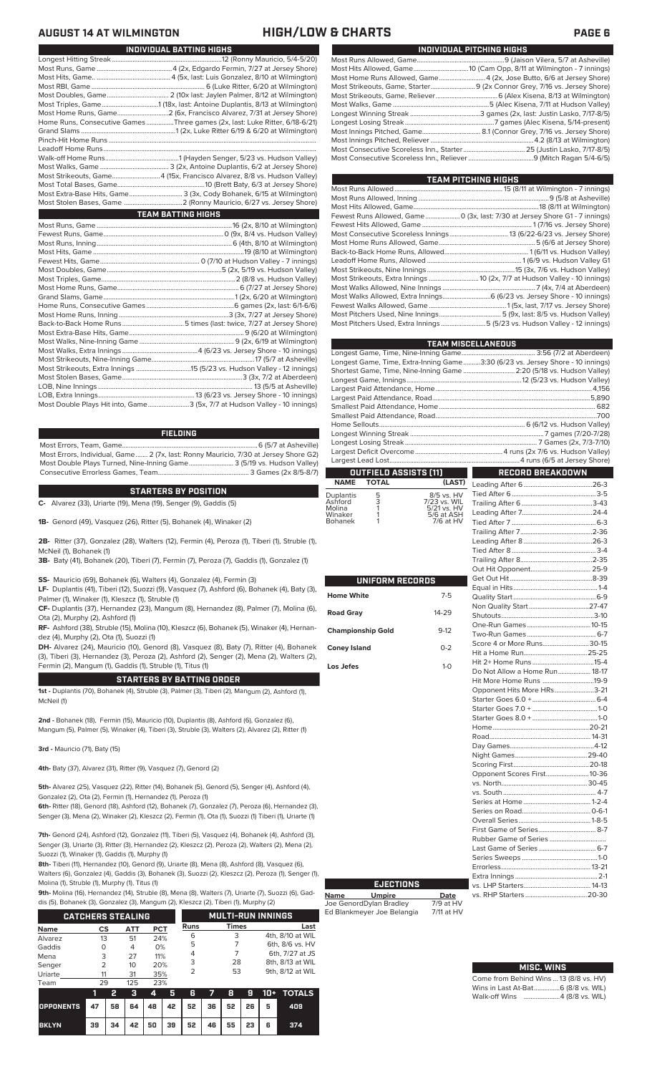| INDIVIDUAL PITCHING HIGHS                                           |
|---------------------------------------------------------------------|
|                                                                     |
|                                                                     |
| Most Home Runs Allowed, Game4 (2x, Jose Butto, 6/6 at Jersey Shore) |
|                                                                     |
|                                                                     |
|                                                                     |
|                                                                     |
|                                                                     |
|                                                                     |
|                                                                     |
|                                                                     |
|                                                                     |

| TEAM PITCHING HIGHS                                                          |
|------------------------------------------------------------------------------|
|                                                                              |
|                                                                              |
|                                                                              |
| Fewest Runs Allowed, Game  0 (3x, last: 7/30 at Jersey Shore G1 - 7 innings) |
|                                                                              |
|                                                                              |
|                                                                              |
|                                                                              |
|                                                                              |
|                                                                              |
|                                                                              |
|                                                                              |
| Most Walks Allowed, Extra Innings 6 (6/23 vs. Jersey Shore - 10 innings)     |
|                                                                              |
|                                                                              |
| Most Pitchers Used, Extra Innings 5 (5/23 vs. Hudson Valley - 12 innings)    |
|                                                                              |

|                       | <b>TEAM MISCELLANEOUS</b>                                                      |
|-----------------------|--------------------------------------------------------------------------------|
|                       |                                                                                |
|                       | Longest Game, Time, Extra-Inning Game3:30 (6/23 vs. Jersey Shore - 10 innings) |
|                       | Shortest Game, Time, Nine-Inning Game  2:20 (5/18 vs. Hudson Valley)           |
|                       |                                                                                |
|                       |                                                                                |
|                       |                                                                                |
|                       |                                                                                |
|                       |                                                                                |
|                       |                                                                                |
|                       |                                                                                |
|                       |                                                                                |
|                       |                                                                                |
|                       |                                                                                |
| OUTFIELD ASSISTS [11] | <b>RECORD BREAKDOWN</b>                                                        |
| (LAST)<br>NAME TOTAL  | Leading After 6 26-3                                                           |

## **STARTERS BY POSITION**

Longest Hitting Streak ................................................................12 (Ronny Mauricio, 5/4-5/20) Most Runs, Game ............................................4 (2x, Edgardo Fermin, 7/27 at Jersey Shore) Most Hits, Game.. ........................................... 4 (5x, last: Luis Gonzalez, 8/10 at Wilmington) Most RBI, Game .................................................................. 6 (Luke Ritter, 6/20 at Wilmington) Most Doubles, Game.................................... 2 (10x last: Jaylen Palmer, 8/12 at Wilmington) Most Triples, Game.................................1 (18x, last: Antoine Duplantis, 8/13 at Wilmington) Most Home Runs, Game..............................2 (6x, Francisco Alvarez, 7/31 at Jersey Shore) Home Runs, Consecutive Games ................Three games (2x, last: Luke Ritter, 6/18-6/21) Grand Slams .......................................................1 (2x, Luke Ritter 6/19 & 6/20 at Wilmington)

**INDIVIDUAL BATTING HIGHS**

Walk-off Home Runs...........................................1 (Hayden Senger, 5/23 vs. Hudson Valley) Most Walks, Game ........................................ 3 (2x, Antoine Duplantis, 6/2 at Jersey Shore) Most Strikeouts, Game............................4 (15x, Francisco Alvarez, 8/8 vs. Hudson Valley) Most Total Bases, Game...................................................10 (Brett Baty, 6/3 at Jersey Shore) Most Extra-Base Hits, Game............................... 3 (3x, Cody Bohanek, 6/15 at Wilmington)

Most Runs, Game ...............................................................................16 (2x, 8/10 at Wilmington) Fewest Runs, Game......................................................................0 (9x, 8/4 vs. Hudson Valley)

**TEAM BATTING HIGHS**

Most Hits, Game ........................................................................................19 (8/10 at Wilmington)

Most Doubles, Game...................................................................5 (2x, 5/19 vs. Hudson Valley)

Home Runs, Consecutive Games ...................................................6 games (2x, last: 6/1-6/6)

Most Walks, Nine-Inning Game ....................................................... 9 (2x, 6/19 at Wilmington)

LOB, Nine Innings .......................................................................................... 13 (5/5 at Asheville) LOB, Extra Innings........................................................13 (6/23 vs. Jersey Shore - 10 innings)

**FIELDING**

Pinch-Hit Home Runs... Leadoff Home Runs....<br>Walk-off Home Runs...

Most Home Runs, Game.....<br>Grand Slams, Game.............

Most Home Runs, Inning ................................................................3 (3x, 7/27 at Jersey Shore)

Most Extra-Base Hits, Game.

Most Stolen Bases, Game...<br>LOB, Nine Innings ..................

Most Strikeouts, Nine-Inning Game....<br>Most Strikeouts, Extra Innings .............

Consecutive Errorless Games, Team.

**C-** Alvarez (33), Uriarte (19), Mena (19), Senger (9), Gaddis (5)

**1B-** Genord (49), Vasquez (26), Ritter (5), Bohanek (4), Winaker (2)

**2B-** Ritter (37), Gonzalez (28), Walters (12), Fermin (4), Peroza (1), Tiberi (1), Struble (1), McNeil (1), Bohanek (1)

**3B-** Baty (41), Bohanek (20), Tiberi (7), Fermin (7), Peroza (7), Gaddis (1), Gonzalez (1)

**SS-** Mauricio (69), Bohanek (6), Walters (4), Gonzalez (4), Fermin (3)

**LF-** Duplantis (41), Tiberi (12), Suozzi (9), Vasquez (7), Ashford (6), Bohanek (4), Baty (3), Palmer (1), Winaker (1), Kleszcz (1), Struble (1)

**CF-** Duplantis (37), Hernandez (23), Mangum (8), Hernandez (8), Palmer (7), Molina (6), Ota (2), Murphy (2), Ashford (1)

**RF-** Ashford (38), Struble (15), Molina (10), Kleszcz (6), Bohanek (5), Winaker (4), Hernandez (4), Murphy (2), Ota (1), Suozzi (1)

**DH-** Alvarez (24), Mauricio (10), Genord (8), Vasquez (8), Baty (7), Ritter (4), Bohanek (3), Tiberi (3), Hernandez (3), Peroza (2), Ashford (2), Senger (2), Mena (2), Walters (2), Fermin (2), Mangum (1), Gaddis (1), Struble (1), Titus (1)

## **STARTERS BY BATTING ORDER**

**1st -** Duplantis (70), Bohanek (4), Struble (3), Palmer (3), Tiberi (2), Mangum (2), Ashford (1), McNeil (1)

**2nd -** Bohanek (18), Fermin (15), Mauricio (10), Duplantis (8), Ashford (6), Gonzalez (6), Mangum (5), Palmer (5), Winaker (4), Tiberi (3), Struble (3), Walters (2), Alvarez (2), Ritter (1)

**3rd -** Mauricio (71), Baty (15)

**4th-** Baty (37), Alvarez (31), Ritter (9), Vasquez (7), Genord (2)

**5th-** Alvarez (25), Vasquez (22), Ritter (14), Bohanek (5), Genord (5), Senger (4), Ashford (4), Gonzalez (2), Ota (2), Fermin (1), Hernandez (1), Peroza (1)

**6th-** Ritter (18), Genord (18), Ashford (12), Bohanek (7), Gonzalez (7), Peroza (6), Hernandez (3), Senger (3), Mena (2), Winaker (2), Kleszcz (2), Fermin (1), Ota (1), Suozzi (1) Tiberi (1), Uriarte (1)

**7th-** Genord (24), Ashford (12), Gonzalez (11), Tiberi (5), Vasquez (4), Bohanek (4), Ashford (3), Senger (3), Uriarte (3), Ritter (3), Hernandez (2), Kleszcz (2), Peroza (2), Walters (2), Mena (2), Suozzi (1), Winaker (1), Gaddis (1), Murphy (1)

**8th-** Tiberi (11), Hernandez (10), Genord (9), Uriarte (8), Mena (8), Ashford (8), Vasquez (6), Walters (6), Gonzalez (4), Gaddis (3), Bohanek (3), Suozzi (2), Kleszcz (2), Peroza (1), Senger (1), Molina (1), Struble (1), Murphy (1), Titus (1)

**9th-** Molina (16), Hernandez (14), Struble (8), Mena (8), Walters (7), Uriarte (7), Suozzi (6), Gad-

dis (5), Bohanek (3), Gonzalez (3), Mangum (2), Kleszcz (2), Tiberi (1), Murphy (2)

|             | <b>CATCHERS STEALING</b> |            |            |             | <b>MULTI-RUN INNINGS</b> |                  |  |  |  |
|-------------|--------------------------|------------|------------|-------------|--------------------------|------------------|--|--|--|
| <b>Name</b> | CS                       | <b>ATT</b> | <b>PCT</b> | <b>Runs</b> | <b>Times</b>             | Last             |  |  |  |
| Alvarez     | 13                       | 51         | 24%        | 6           | 3                        | 4th, 8/10 at WIL |  |  |  |
| Gaddis      | O                        | 4          | 0%         | 5           |                          | 6th, 8/6 vs. HV  |  |  |  |
| Mena        | 3                        | 27         | 11%        | 4           |                          | 6th, 7/27 at JS  |  |  |  |
| Senger      | 2                        | 10         | 20%        | 3           | 28                       | 8th, 8/13 at WIL |  |  |  |
| Uriarte     | 11                       | 31         | 35%        | っ           | 53                       | 9th, 8/12 at WIL |  |  |  |
| Team        | 29                       | 125        | 23%        |             |                          |                  |  |  |  |

| .                                      |    |   |  |                                           |  |  |                           |
|----------------------------------------|----|---|--|-------------------------------------------|--|--|---------------------------|
|                                        |    | 2 |  |                                           |  |  | 3 4 5 6 7 8 9 10 + TOTALS |
| OPPONENTS 47 58 64 48 42 52 36 52 26 5 |    |   |  |                                           |  |  | 409                       |
| <b>BKLYN</b>                           | 39 |   |  | 34   42   50   39   52   46   55   23   6 |  |  | 374                       |

|                          |         | L<br>1<br>Ī    |
|--------------------------|---------|----------------|
| UNIFORM RECORDS          |         | C<br>E<br>E    |
| <b>Home White</b>        | $7 - 5$ | $\overline{C}$ |
| <b>Road Gray</b>         | 14-29   | トランコミー         |
| <b>Championship Gold</b> | $9-12$  |                |
| <b>Coney Island</b>      | $0 - 2$ |                |
| Los Jefes                | $1-0$   | ŀ<br>D         |
|                          |         | $\mathsf{H}$   |
|                          |         | Co in N        |
|                          |         |                |
|                          |         | ŀ              |
|                          |         | F<br>С         |
|                          |         | Ņ              |
|                          |         | ؟<br>C         |
|                          |         |                |
|                          |         | V              |

**Name Umpire Date** Joe GenordDylan Bradley 7/9 at HV Ed Blankmeyer Joe Belangia 7/11 at HV

**EJECTIONS**

Duplantis 5 8/5 vs. HV Ashford 3 7/23 vs. WIL Molina 1 5/21 vs. HV Winaker 1 5/6 at ASH

a...............<br>Bohan

| <u>RECORD BREAKDOWN</u>       |  |
|-------------------------------|--|
|                               |  |
|                               |  |
|                               |  |
|                               |  |
|                               |  |
|                               |  |
|                               |  |
|                               |  |
|                               |  |
|                               |  |
|                               |  |
|                               |  |
|                               |  |
|                               |  |
|                               |  |
|                               |  |
|                               |  |
| Score 4 or More Runs30-15     |  |
|                               |  |
|                               |  |
| Do Not Allow a Home Run 18-17 |  |
| Hit More Home Runs 19-9       |  |
| Opponent Hits More HRs3-21    |  |
|                               |  |
|                               |  |
|                               |  |
|                               |  |
|                               |  |
|                               |  |
|                               |  |
|                               |  |
| Opponent Scores First 10-36   |  |
|                               |  |
|                               |  |
|                               |  |
|                               |  |
|                               |  |
| First Game of Series  8-7     |  |
|                               |  |
| Last Game of Series  6-7      |  |
|                               |  |
|                               |  |
|                               |  |
|                               |  |
|                               |  |

### Come from Behind Wins ... 13 (8/8 vs. HV) Wins in Last At-Bat...............6 (8/8 vs. WIL) **MISC. WINS**

| Come from Behind Wins  13 (8/8 vs. HV) |  |  |
|----------------------------------------|--|--|
| Wins in Last At-Bat 6 (8/8 vs. WIL)    |  |  |
| Walk-off Wins 4 (8/8 vs. WIL)          |  |  |

# **AUGUST 14 AT WILMINGTON HIGH/LOW & CHARTS PAGE 6**

Most Errors, Team, Game...............................................................................6 (5/7 at Asheville) Most Errors, Individual, Game....... 2 (7x, last: Ronny Mauricio, 7/30 at Jersey Shore G2) Most Double Plays Turned, Nine-Inning Game.......................... 3 (5/19 vs. Hudson Valley)

.2 (Ronny Mauricio, 6/27 vs. Jersey Shore)

w.<br>.6 (4th, 8/10 at Wilmington)

, .......<br>.......2 (8/8 vs. Hudson Valley)<br>........6 (7/27 at Jersey Shore)

1 (2x, 6/20 at Wilmington)

0 (7/10 at Hudson Valley - 7 innings)

Back-to-Back Home Runs ....................................5 times (last: twice, 7/27 at Jersey Shore)

Most Walks, Extra Innings ............................................4 (6/23 vs. Jersey Shore - 10 innings)

Most Strikeouts, Extra Innings ................................15 (5/23 vs. Hudson Valley - 12 innings)

.3 (5x, 7/7 at Hudson Valley - 10 innings)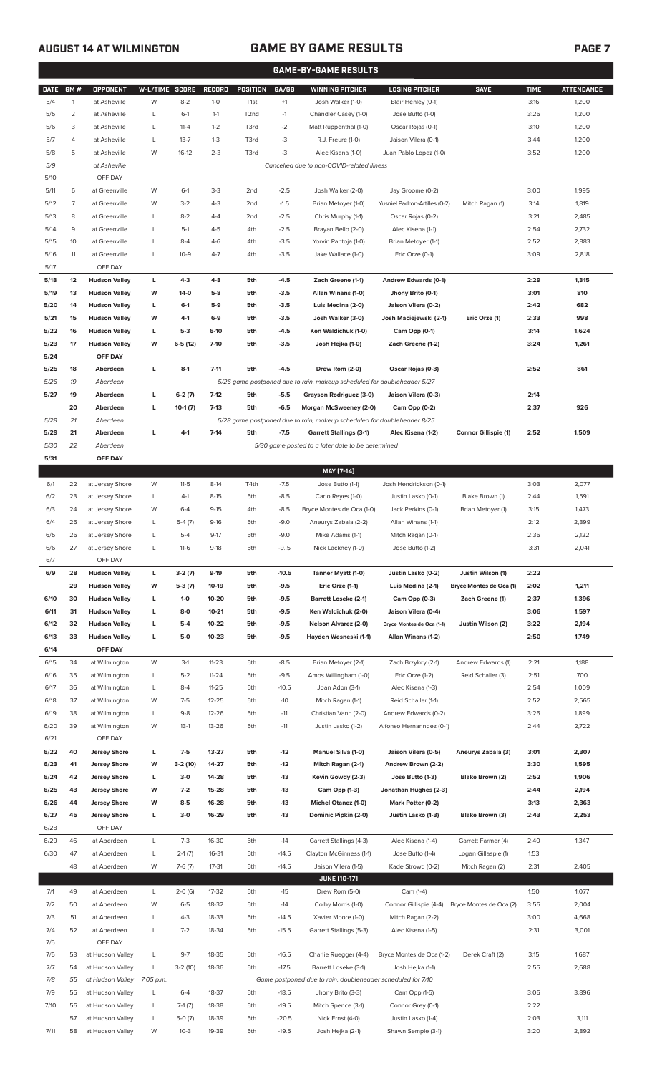## **AUGUST 14 AT WILMINGTON GAME BY GAME RESULTS**

|             | <b>GAME-BY-GAME RESULTS</b> |                      |                |           |               |                   |         |                                                                         |                               |                         |             |                   |
|-------------|-----------------------------|----------------------|----------------|-----------|---------------|-------------------|---------|-------------------------------------------------------------------------|-------------------------------|-------------------------|-------------|-------------------|
| <b>DATE</b> | GM#                         | <b>OPPONENT</b>      | W-L/TIME SCORE |           | <b>RECORD</b> | <b>POSITION</b>   | GA/GB   | <b>WINNING PITCHER</b>                                                  | <b>LOSING PITCHER</b>         | <b>SAVE</b>             | <b>TIME</b> | <b>ATTENDANCE</b> |
| 5/4         | $\mathbf{1}$                | at Asheville         | W              | $8 - 2$   | $1-0$         | T <sub>1st</sub>  | $+1$    | Josh Walker (1-0)                                                       | Blair Henley (0-1)            |                         | 3:16        | 1,200             |
| 5/5         | $\overline{2}$              | at Asheville         | L              | $6-1$     | $1 - 1$       | T <sub>2</sub> nd | $-1$    | Chandler Casey (1-0)                                                    | Jose Butto (1-0)              |                         | 3:26        | 1,200             |
| 5/6         | 3                           | at Asheville         | L              | $11 - 4$  | $1 - 2$       | T3rd              | $-2$    | Matt Ruppenthal (1-0)                                                   | Oscar Rojas (0-1)             |                         | 3:10        | 1,200             |
| 5/7         | 4                           | at Asheville         | L              | $13 - 7$  | $1 - 3$       | T3rd              | -3      | R.J. Freure (1-0)                                                       | Jaison Vilera (0-1)           |                         | 3:44        | 1,200             |
| 5/8         | 5                           | at Asheville         | W              | $16-12$   | $2 - 3$       | T3rd              | -3      | Alec Kisena (1-0)                                                       | Juan Pablo Lopez (1-0)        |                         | 3:52        | 1,200             |
| 5/9         |                             | at Asheville         |                |           |               |                   |         | Cancelled due to non-COVID-related illness                              |                               |                         |             |                   |
| 5/10        |                             | OFF DAY              |                |           |               |                   |         |                                                                         |                               |                         |             |                   |
| 5/11        | 6                           | at Greenville        | W              | $6-1$     | $3-3$         | 2 <sub>nd</sub>   | $-2.5$  | Josh Walker (2-0)                                                       | Jay Groome (0-2)              |                         | 3:00        | 1,995             |
| 5/12        | 7                           | at Greenville        | W              | $3 - 2$   | $4 - 3$       | 2 <sub>nd</sub>   | $-1.5$  | Brian Metoyer (1-0)                                                     | Yusniel Padron-Artilles (0-2) | Mitch Ragan (1)         | 3:14        | 1,819             |
| 5/13        | 8                           | at Greenville        | L              | $8 - 2$   | $4 - 4$       | 2 <sub>nd</sub>   | $-2.5$  | Chris Murphy (1-1)                                                      | Oscar Rojas (0-2)             |                         | 3:21        | 2,485             |
| 5/14        | 9                           | at Greenville        | L              | $5-1$     | $4 - 5$       | 4th               | $-2.5$  | Brayan Bello (2-0)                                                      | Alec Kisena (1-1)             |                         | 2:54        | 2,732             |
| 5/15        | 10                          | at Greenville        | L              | $8 - 4$   | $4-6$         | 4th               | $-3.5$  | Yorvin Pantoja (1-0)                                                    | Brian Metoyer (1-1)           |                         | 2:52        | 2,883             |
| 5/16        | 11                          | at Greenville        | L              | $10-9$    | $4 - 7$       | 4th               | $-3.5$  | Jake Wallace (1-0)                                                      | Eric Orze (0-1)               |                         | 3:09        | 2,818             |
| 5/17        |                             | OFF DAY              |                |           |               |                   |         |                                                                         |                               |                         |             |                   |
| 5/18        | 12                          | <b>Hudson Valley</b> | L              | $4-3$     | $4 - 8$       | 5th               | $-4.5$  | Zach Greene (1-1)                                                       | Andrew Edwards (0-1)          |                         | 2:29        | 1,315             |
| 5/19        | 13                          | <b>Hudson Valley</b> | W              | $14-0$    | $5-8$         | 5th               | $-3.5$  | Allan Winans (1-0)                                                      | Jhony Brito (0-1)             |                         | 3:01        | 810               |
| 5/20        | 14                          | <b>Hudson Valley</b> | L              | $6-1$     | $5-9$         | 5th               | $-3.5$  | Luis Medina (2-0)                                                       | Jaison Vilera (0-2)           |                         | 2:42        | 682               |
| 5/21        | 15                          | <b>Hudson Valley</b> | W              | $4-1$     | $6-9$         | 5th               | $-3.5$  | Josh Walker (3-0)                                                       | Josh Maciejewski (2-1)        | Eric Orze (1)           | 2:33        | 998               |
| 5/22        | 16                          | <b>Hudson Valley</b> | L              | $5-3$     | $6-10$        | 5th               | $-4.5$  | Ken Waldichuk (1-0)                                                     | Cam Opp (0-1)                 |                         | 3:14        | 1,624             |
| 5/23        | 17                          | <b>Hudson Valley</b> | W              | $6-5(12)$ | $7-10$        | 5th               | $-3.5$  |                                                                         | Zach Greene (1-2)             |                         | 3:24        | 1,261             |
|             |                             |                      |                |           |               |                   |         | Josh Hejka (1-0)                                                        |                               |                         |             |                   |
| 5/24        | 18                          | OFF DAY<br>Aberdeen  |                |           | $7 - 11$      | 5th               |         |                                                                         |                               |                         |             | 861               |
| 5/25        |                             |                      | г              | $8-1$     |               |                   | $-4.5$  | Drew Rom (2-0)                                                          | Oscar Rojas (0-3)             |                         | 2:52        |                   |
| 5/26        | 19                          | Aberdeen             |                |           |               |                   |         | 5/26 game postponed due to rain, makeup scheduled for doubleheader 5/27 |                               |                         |             |                   |
| 5/27        | 19                          | Aberdeen             | г              | $6-2(7)$  | $7-12$        | 5th               | $-5.5$  | Grayson Rodriguez (3-0)                                                 | Jaison Vilera (0-3)           |                         | 2:14        |                   |
|             | 20                          | Aberdeen             | г              | $10-1(7)$ | $7-13$        | 5th               | $-6.5$  | Morgan McSweeney (2-0)                                                  | Cam Opp (0-2)                 |                         | 2:37        | 926               |
| 5/28        | 21                          | Aberdeen             |                |           |               |                   |         | 5/28 game postponed due to rain, makeup scheduled for doubleheader 8/25 |                               |                         |             |                   |
| 5/29        | 21                          | Aberdeen             | г              | $4-1$     | $7 - 14$      | 5th               | $-7.5$  | <b>Garrett Stallings (3-1)</b>                                          | Alec Kisena (1-2)             | Connor Gillispie (1)    | 2:52        | 1,509             |
| 5/30        | 22                          | Aberdeen             |                |           |               |                   |         | 5/30 game posted to a later date to be determined                       |                               |                         |             |                   |
| 5/31        |                             | OFF DAY              |                |           |               |                   |         |                                                                         |                               |                         |             |                   |
|             |                             |                      |                |           |               |                   |         | MAY [7-14]                                                              |                               |                         |             |                   |
| 6/1         | 22                          | at Jersey Shore      | W              | $11 - 5$  | $8-14$        | T4th              | $-7.5$  | Jose Butto (1-1)                                                        | Josh Hendrickson (0-1)        |                         | 3:03        | 2,077             |
| 6/2         | 23                          | at Jersey Shore      | L              | $4-1$     | $8 - 15$      | 5th               | $-8.5$  | Carlo Reyes (1-0)                                                       | Justin Lasko (0-1)            | Blake Brown (1)         | 2:44        | 1,591             |
| 6/3         | 24                          | at Jersey Shore      | W              | $6 - 4$   | $9 - 15$      | 4th               | $-8.5$  | Bryce Montes de Oca (1-0)                                               | Jack Perkins (0-1)            | Brian Metoyer (1)       | 3:15        | 1,473             |
| 6/4         | 25                          | at Jersey Shore      | L              | $5-4(7)$  | $9 - 16$      | 5th               | $-9.0$  | Aneurys Zabala (2-2)                                                    | Allan Winans (1-1)            |                         | 2:12        | 2,399             |
| 6/5         | 26                          | at Jersey Shore      | L              | $5 - 4$   | $9 - 17$      | 5th               | $-9.0$  | Mike Adams (1-1)                                                        | Mitch Ragan (0-1)             |                         | 2:36        | 2,122             |
| 6/6         | 27                          | at Jersey Shore      | L              | $11-6$    | $9-18$        | 5th               | $-9.5$  | Nick Lackney (1-0)                                                      | Jose Butto (1-2)              |                         | 3:31        | 2,041             |
| 6/7         |                             | OFF DAY              |                |           |               |                   |         |                                                                         |                               |                         |             |                   |
| 6/9         | 28                          | <b>Hudson Valley</b> | L              | $3-2(7)$  | $9-19$        | 5th               | $-10.5$ | Tanner Myatt (1-0)                                                      | Justin Lasko (0-2)            | Justin Wilson (1)       | 2:22        |                   |
|             | 29                          | <b>Hudson Valley</b> | W              | $5-3(7)$  | 10-19         | 5th               | $-9.5$  | Eric Orze (1-1)                                                         | Luis Medina (2-1)             | Bryce Montes de Oca (1) | 2:02        | 1,211             |
| 6/10        | 30                          | <b>Hudson Valley</b> | L              | $1-0$     | 10-20         | 5th               | $-9.5$  | <b>Barrett Loseke (2-1)</b>                                             | Cam Opp (0-3)                 | Zach Greene (1)         | 2:37        | 1,396             |
| 6/11        | 31                          | <b>Hudson Valley</b> | L              | $8-0$     | $10 - 21$     | 5th               | $-9.5$  | Ken Waldichuk (2-0)                                                     | Jaison Vilera (0-4)           |                         | 3:06        | 1,597             |
| 6/12        | 32                          | <b>Hudson Valley</b> | г              | $5-4$     | 10-22         | 5th               | $-9.5$  | Nelson Alvarez (2-0)                                                    | Bryce Montes de Oca (1-1)     | Justin Wilson (2)       | 3:22        | 2,194             |
| 6/13        | 33                          | <b>Hudson Valley</b> | L              | $5-0$     | $10 - 23$     | 5th               | $-9.5$  | Hayden Wesneski (1-1)                                                   | Allan Winans (1-2)            |                         | 2:50        | 1,749             |
| 6/14        |                             | OFF DAY              |                |           |               |                   |         |                                                                         |                               |                         |             |                   |
| 6/15        | 34                          | at Wilmington        | W              | $3-1$     | $11 - 23$     | 5th               | $-8.5$  | Brian Metoyer (2-1)                                                     | Zach Brzykcy (2-1)            | Andrew Edwards (1)      | 2:21        | 1,188             |
| 6/16        | 35                          | at Wilmington        | L              | $5 - 2$   | $11 - 24$     | 5th               | $-9.5$  | Amos Willingham (1-0)                                                   | Eric Orze (1-2)               | Reid Schaller (3)       | 2:51        | 700               |
| 6/17        | 36                          | at Wilmington        | L              | $8 - 4$   | $11 - 25$     | 5th               | $-10.5$ | Joan Adon (3-1)                                                         | Alec Kisena (1-3)             |                         | 2:54        | 1,009             |
| 6/18        | 37                          | at Wilmington        | W              | $7-5$     | $12 - 25$     | 5th               | $-10$   | Mitch Ragan (1-1)                                                       | Reid Schaller (1-1)           |                         | 2:52        | 2,565             |
| 6/19        | 38                          | at Wilmington        | L              | $9 - 8$   | 12-26         | 5th               | $-11$   | Christian Vann (2-0)                                                    | Andrew Edwards (0-2)          |                         | 3:26        | 1,899             |
| 6/20        | 39                          | at Wilmington        | W              | $13-1$    | 13-26         | 5th               | $-11$   | Justin Lasko (1-2)                                                      | Alfonso Hernanndez (0-1)      |                         | 2:44        | 2,722             |
| 6/21        |                             | OFF DAY              |                |           |               |                   |         |                                                                         |                               |                         |             |                   |
| 6/22        | 40                          | <b>Jersey Shore</b>  | L              | $7 - 5$   | $13 - 27$     | 5th               | $-12$   | <b>Manuel Silva (1-0)</b>                                               | Jaison Vilera (0-5)           | Aneurys Zabala (3)      | 3:01        | 2,307             |
| 6/23        | 41                          | <b>Jersey Shore</b>  | W              | $3-2(10)$ | 14-27         | 5th               | $-12$   | Mitch Ragan (2-1)                                                       | Andrew Brown (2-2)            |                         | 3:30        | 1,595             |
| 6/24        | 42                          | <b>Jersey Shore</b>  | L              | $3-0$     | 14-28         | 5th               | $-13$   | Kevin Gowdy (2-3)                                                       | Jose Butto (1-3)              | Blake Brown (2)         | 2:52        | 1,906             |
| 6/25        | 43                          | <b>Jersey Shore</b>  | W              | $7-2$     | 15-28         | 5th               | $-13$   | Cam Opp (1-3)                                                           | Jonathan Hughes (2-3)         |                         | 2:44        | 2,194             |
| 6/26        | 44                          | <b>Jersey Shore</b>  | W              | $8-5$     | 16-28         | 5th               | $-13$   | <b>Michel Otanez (1-0)</b>                                              | Mark Potter (0-2)             |                         | 3:13        | 2,363             |
| 6/27        | 45                          | <b>Jersey Shore</b>  | L              | $3-0$     | 16-29         | 5th               | $-13$   | Dominic Pipkin (2-0)                                                    | Justin Lasko (1-3)            | Blake Brown (3)         | 2:43        | 2,253             |
| 6/28        |                             | OFF DAY              |                |           |               |                   |         |                                                                         |                               |                         |             |                   |
| 6/29        | 46                          | at Aberdeen          | L              | $7 - 3$   | 16-30         | 5th               | $-14$   | Garrett Stallings (4-3)                                                 | Alec Kisena (1-4)             | Garrett Farmer (4)      | 2:40        | 1,347             |
| 6/30        | 47                          | at Aberdeen          | L              | $2-1(7)$  | 16-31         | 5th               | $-14.5$ | Clayton McGinness (1-1)                                                 | Jose Butto (1-4)              | Logan Gillaspie (1)     | 1:53        |                   |
|             | 48                          | at Aberdeen          | W              | $7-6(7)$  | $17 - 31$     | 5th               | $-14.5$ | Jaison Vilera (1-5)                                                     | Kade Strowd (0-2)             | Mitch Ragan (2)         | 2:31        | 2,405             |
|             |                             |                      |                |           |               |                   |         | <b>JUNE [10-17]</b>                                                     |                               |                         |             |                   |
| 7/1         | 49                          | at Aberdeen          | L              | $2-0(6)$  | 17-32         | 5th               | $-15$   | Drew Rom (5-0)                                                          | Cam (1-4)                     |                         | 1:50        | 1,077             |
|             |                             |                      |                |           |               |                   |         |                                                                         |                               |                         |             |                   |
| 7/2         | 50                          | at Aberdeen          | W              | $6 - 5$   | 18-32         | 5th               | $-14$   | Colby Morris (1-0)                                                      | Connor Gillispie (4-4)        | Bryce Montes de Oca (2) | 3:56        | 2,004             |
| 7/3         | 51                          | at Aberdeen          | L              | $4 - 3$   | 18-33         | 5th               | $-14.5$ | Xavier Moore (1-0)                                                      | Mitch Ragan (2-2)             |                         | 3:00        | 4,668             |
| 7/4         | 52                          | at Aberdeen          | L              | $7 - 2$   | 18-34         | 5th               | $-15.5$ | Garrett Stallings (5-3)                                                 | Alec Kisena (1-5)             |                         | 2:31        | 3,001             |
| 7/5         |                             | OFF DAY              |                |           |               |                   |         |                                                                         |                               |                         |             |                   |
| 7/6         | 53                          | at Hudson Valley     | L              | $9 - 7$   | 18-35         | 5th               | $-16.5$ | Charlie Ruegger (4-4)                                                   | Bryce Montes de Oca (1-2)     | Derek Craft (2)         | 3:15        | 1,687             |
| 7/7         | 54                          | at Hudson Valley     | L              | $3-2(10)$ | 18-36         | 5th               | $-17.5$ | Barrett Loseke (3-1)                                                    | Josh Hejka (1-1)              |                         | 2:55        | 2,688             |
| 7/8         | 55                          | at Hudson Valley     | 7:05 p.m.      |           |               |                   |         | Game postponed due to rain, doubleheader scheduled for 7/10             |                               |                         |             |                   |
| 7/9         | 55                          | at Hudson Valley     | L              | $6 - 4$   | 18-37         | 5th               | $-18.5$ | Jhony Brito (3-3)                                                       | Cam Opp (1-5)                 |                         | 3:06        | 3,896             |
| 7/10        | 56                          | at Hudson Valley     | L              | $7-1(7)$  | 18-38         | 5th               | $-19.5$ | Mitch Spence (3-1)                                                      | Connor Grey (0-1)             |                         | 2:22        |                   |
|             | 57                          | at Hudson Valley     | L              | $5-0(7)$  | 18-39         | 5th               | $-20.5$ | Nick Ernst (4-0)                                                        | Justin Lasko (1-4)            |                         | 2:03        | 3,111             |
| 7/11        |                             | 58 at Hudson Valley  | W              | $10-3$    | 19-39         | 5th               | $-19.5$ | Josh Hejka (2-1)                                                        | Shawn Semple (3-1)            |                         | 3:20        | 2,892             |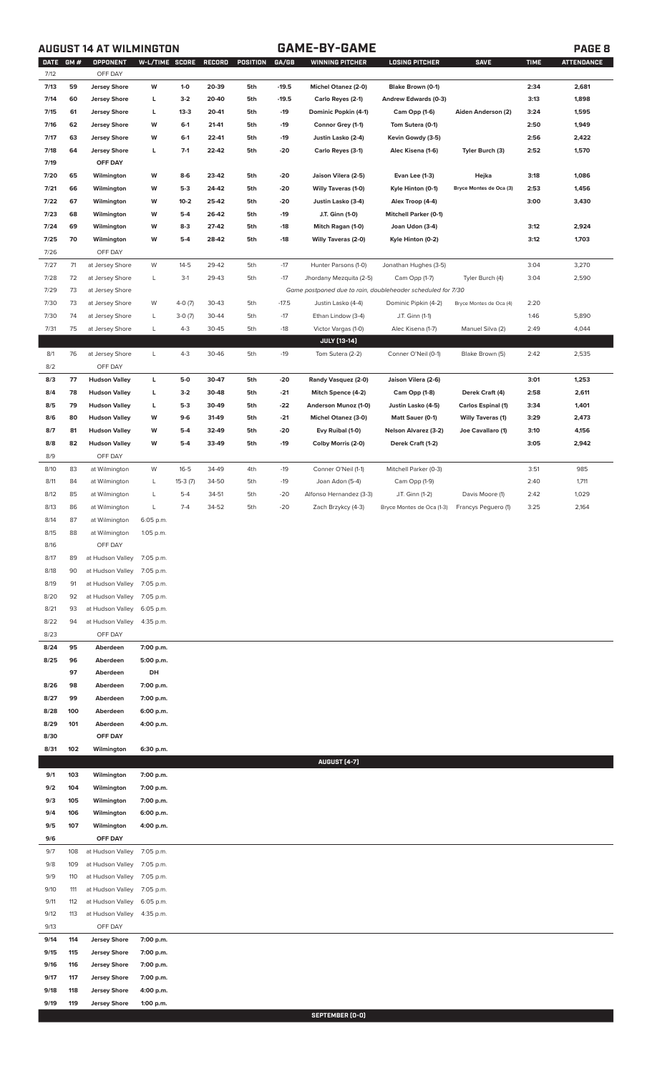# **AUGUST 14 AT WILMINGTON GAME-BY-GAME PAGE 8**

| <b>DATE</b> | GM# | <b>OPPONENT</b>      | W-L/TIME SCORE |           | <b>RECORD</b> | POSITION | GA/GB   | <b>WINNING PITCHER</b>                                      | LOSING PITCHER               | <b>SAVE</b>               | <b>TIME</b> | <b>ATTENDANCE</b> |
|-------------|-----|----------------------|----------------|-----------|---------------|----------|---------|-------------------------------------------------------------|------------------------------|---------------------------|-------------|-------------------|
| 7/12        |     | OFF DAY              |                |           |               |          |         |                                                             |                              |                           |             |                   |
| 7/13        | 59  | <b>Jersey Shore</b>  | W              | $1-0$     | 20-39         | 5th      | $-19.5$ | Michel Otanez (2-0)                                         | Blake Brown (0-1)            |                           | 2:34        | 2,681             |
| 7/14        | 60  | <b>Jersey Shore</b>  | L              | $3-2$     | 20-40         | 5th      | $-19.5$ | Carlo Reyes (2-1)                                           | Andrew Edwards (0-3)         |                           | 3:13        | 1,898             |
| 7/15        | 61  | <b>Jersey Shore</b>  | L              | $13-3$    | 20-41         | 5th      | $-19$   | Dominic Popkin (4-1)                                        | Cam Opp (1-6)                | Aiden Anderson (2)        | 3:24        | 1,595             |
| 7/16        | 62  | <b>Jersey Shore</b>  | W              | $6-1$     | 21-41         | 5th      | $-19$   | Connor Grey (1-1)                                           | Tom Sutera (0-1)             |                           | 2:50        | 1,949             |
| 7/17        | 63  | <b>Jersey Shore</b>  | W              | $6-1$     | 22-41         | 5th      | $-19$   | Justin Lasko (2-4)                                          | Kevin Gowdy (3-5)            |                           | 2:56        | 2,422             |
| 7/18        | 64  | <b>Jersey Shore</b>  | L              | $7-1$     | 22-42         | 5th      | $-20$   | Carlo Reyes (3-1)                                           | Alec Kisena (1-6)            | Tyler Burch (3)           | 2:52        | 1,570             |
| 7/19        |     | OFF DAY              |                |           |               |          |         |                                                             |                              |                           |             |                   |
|             |     |                      |                |           |               |          |         |                                                             |                              |                           |             |                   |
| 7/20        | 65  | Wilmington           | W              | $8-6$     | 23-42         | 5th      | -20     | Jaison Vilera (2-5)                                         | Evan Lee (1-3)               | Hejka                     | 3:18        | 1,086             |
| 7/21        | 66  | Wilmington           | W              | $5-3$     | 24-42         | 5th      | -20     | <b>Willy Taveras (1-0)</b>                                  | Kyle Hinton (0-1)            | Bryce Montes de Oca (3)   | 2:53        | 1,456             |
| 7/22        | 67  | Wilmington           | W              | $10 - 2$  | 25-42         | 5th      | $-20$   | Justin Lasko (3-4)                                          | Alex Troop (4-4)             |                           | 3:00        | 3,430             |
| 7/23        | 68  | Wilmington           | W              | $5-4$     | 26-42         | 5th      | $-19$   | J.T. Ginn (1-0)                                             | <b>Mitchell Parker (0-1)</b> |                           |             |                   |
| 7/24        | 69  | Wilmington           | W              | $8-3$     | 27-42         | 5th      | $-18$   | Mitch Ragan (1-0)                                           | Joan Udon (3-4)              |                           | 3:12        | 2,924             |
| 7/25        | 70  | Wilmington           | W              | $5-4$     | 28-42         | 5th      | $-18$   | <b>Willy Taveras (2-0)</b>                                  | Kyle Hinton (0-2)            |                           | 3:12        | 1,703             |
| 7/26        |     | OFF DAY              |                |           |               |          |         |                                                             |                              |                           |             |                   |
| 7/27        | 71  | at Jersey Shore      | W              | $14 - 5$  | 29-42         | 5th      | $-17$   | Hunter Parsons (1-0)                                        | Jonathan Hughes (3-5)        |                           | 3:04        | 3,270             |
| 7/28        | 72  | at Jersey Shore      | L              | $3-1$     | 29-43         | 5th      | $-17$   | Jhordany Mezquita (2-5)                                     | Cam Opp (1-7)                | Tyler Burch (4)           | 3:04        | 2,590             |
| 7/29        | 73  | at Jersey Shore      |                |           |               |          |         | Game postponed due to rain, doubleheader scheduled for 7/30 |                              |                           |             |                   |
| 7/30        | 73  | at Jersey Shore      | W              | $4-0(7)$  | 30-43         | 5th      | $-17.5$ | Justin Lasko (4-4)                                          | Dominic Pipkin (4-2)         | Bryce Montes de Oca (4)   | 2:20        |                   |
|             |     |                      |                |           |               |          |         |                                                             |                              |                           |             |                   |
| 7/30        | 74  | at Jersey Shore      | L              | $3-0(7)$  | 30-44         | 5th      | $-17$   | Ethan Lindow (3-4)                                          | J.T. Ginn (1-1)              |                           | 1:46        | 5,890             |
| 7/31        | 75  | at Jersey Shore      | L              | $4 - 3$   | 30-45         | 5th      | $-18$   | Victor Vargas (1-0)                                         | Alec Kisena (1-7)            | Manuel Silva (2)          | 2:49        | 4,044             |
|             |     |                      |                |           |               |          |         | JULY [13-14]                                                |                              |                           |             |                   |
| 8/1         | 76  | at Jersey Shore      | L              | $4 - 3$   | 30-46         | 5th      | $-19$   | Tom Sutera (2-2)                                            | Conner O'Neil (0-1)          | Blake Brown (5)           | 2:42        | 2,535             |
| 8/2         |     | OFF DAY              |                |           |               |          |         |                                                             |                              |                           |             |                   |
| 8/3         | 77  | <b>Hudson Valley</b> | L              | 5-0       | 30-47         | 5th      | $-20$   | Randy Vasquez (2-0)                                         | Jaison Vilera (2-6)          |                           | 3:01        | 1,253             |
| 8/4         | 78  | <b>Hudson Valley</b> | L              | $3-2$     | 30-48         | 5th      | $-21$   | Mitch Spence (4-2)                                          | Cam Opp (1-8)                | Derek Craft (4)           | 2:58        | 2,611             |
| 8/5         | 79  | <b>Hudson Valley</b> | L              | $5-3$     | 30-49         | 5th      | $-22$   | Anderson Munoz (1-0)                                        | Justin Lasko (4-5)           | <b>Carlos Espinal (1)</b> | 3:34        | 1,401             |
| 8/6         | 80  | <b>Hudson Valley</b> | W              | $9-6$     | 31-49         | 5th      | $-21$   | <b>Michel Otanez (3-0)</b>                                  | Matt Sauer (0-1)             | <b>Willy Taveras (1)</b>  | 3:29        | 2,473             |
| 8/7         | 81  | <b>Hudson Valley</b> | W              | $5-4$     | 32-49         | 5th      | $-20$   | Evy Ruibal (1-0)                                            | <b>Nelson Alvarez (3-2)</b>  | Joe Cavallaro (1)         | 3:10        | 4,156             |
| 8/8         | 82  | <b>Hudson Valley</b> | W              | $5-4$     | 33-49         | 5th      | $-19$   | Colby Morris (2-0)                                          | Derek Craft (1-2)            |                           | 3:05        | 2,942             |
| 8/9         |     | OFF DAY              |                |           |               |          |         |                                                             |                              |                           |             |                   |
|             |     |                      |                |           |               |          |         |                                                             |                              |                           |             |                   |
| 8/10        | 83  | at Wilmington        | W              | $16 - 5$  | 34-49         | 4th      | $-19$   | Conner O'Neil (1-1)                                         | Mitchell Parker (0-3)        |                           | 3:51        | 985               |
| 8/11        | 84  | at Wilmington        | L              | $15-3(7)$ | 34-50         | 5th      | $-19$   | Joan Adon (5-4)                                             | Cam Opp (1-9)                |                           | 2:40        | 1,711             |
| 8/12        | 85  | at Wilmington        | L              | $5 - 4$   | 34-51         | 5th      | $-20$   | Alfonso Hernandez (3-3)                                     | J.T. Ginn (1-2)              | Davis Moore (1)           | 2:42        | 1,029             |
| 8/13        | 86  | at Wilmington        | L              | $7 - 4$   | 34-52         | 5th      | $-20$   | Zach Brzykcy (4-3)                                          | Bryce Montes de Oca (1-3)    | Francys Pequero (1)       | 3:25        | 2,164             |
| 8/14        | 87  | at Wilmington        | 6:05 p.m.      |           |               |          |         |                                                             |                              |                           |             |                   |
| 8/15        | 88  | at Wilmington        | 1:05 p.m.      |           |               |          |         |                                                             |                              |                           |             |                   |
| 8/16        |     | OFF DAY              |                |           |               |          |         |                                                             |                              |                           |             |                   |
| 8/17        | 89  | at Hudson Valley     | 7:05 p.m.      |           |               |          |         |                                                             |                              |                           |             |                   |
| 8/18        | 90  | at Hudson Valley     | 7:05 p.m.      |           |               |          |         |                                                             |                              |                           |             |                   |
| 8/19        | 91  | at Hudson Valley     | 7:05 p.m.      |           |               |          |         |                                                             |                              |                           |             |                   |
| 8/20        | 92  | at Hudson Valley     | 7:05 p.m.      |           |               |          |         |                                                             |                              |                           |             |                   |
| 8/21        | 93  | at Hudson Valley     | 6:05 p.m.      |           |               |          |         |                                                             |                              |                           |             |                   |
|             |     |                      |                |           |               |          |         |                                                             |                              |                           |             |                   |
| 8/22        | 94  | at Hudson Valley     | 4:35 p.m.      |           |               |          |         |                                                             |                              |                           |             |                   |
| 8/23        |     | OFF DAY              |                |           |               |          |         |                                                             |                              |                           |             |                   |
| 8/24        | 95  | Aberdeen             | 7:00 p.m.      |           |               |          |         |                                                             |                              |                           |             |                   |
| 8/25        | 96  | Aberdeen             | 5:00 p.m.      |           |               |          |         |                                                             |                              |                           |             |                   |
|             | 97  | Aberdeen             | DH             |           |               |          |         |                                                             |                              |                           |             |                   |
| 8/26        | 98  | Aberdeen             | 7:00 p.m.      |           |               |          |         |                                                             |                              |                           |             |                   |
| 8/27        | 99  | Aberdeen             | 7:00 p.m.      |           |               |          |         |                                                             |                              |                           |             |                   |
| 8/28        | 100 | Aberdeen             | 6:00 p.m.      |           |               |          |         |                                                             |                              |                           |             |                   |
| 8/29        | 101 | Aberdeen             | 4:00 p.m.      |           |               |          |         |                                                             |                              |                           |             |                   |
| 8/30        |     | OFF DAY              |                |           |               |          |         |                                                             |                              |                           |             |                   |
| 8/31        | 102 | Wilmington           | 6:30 p.m.      |           |               |          |         |                                                             |                              |                           |             |                   |
|             |     |                      |                |           |               |          |         | <b>AUGUST [4-7]</b>                                         |                              |                           |             |                   |
| 9/1         | 103 | Wilmington           | 7:00 p.m.      |           |               |          |         |                                                             |                              |                           |             |                   |
|             |     |                      |                |           |               |          |         |                                                             |                              |                           |             |                   |
| 9/2         | 104 | Wilmington           | 7:00 p.m.      |           |               |          |         |                                                             |                              |                           |             |                   |
| 9/3         | 105 | Wilmington           | 7:00 p.m.      |           |               |          |         |                                                             |                              |                           |             |                   |
| 9/4         | 106 | Wilmington           | 6:00 p.m.      |           |               |          |         |                                                             |                              |                           |             |                   |
| 9/5         | 107 | Wilmington           | 4:00 p.m.      |           |               |          |         |                                                             |                              |                           |             |                   |
| 9/6         |     | OFF DAY              |                |           |               |          |         |                                                             |                              |                           |             |                   |
| 9/7         | 108 | at Hudson Valley     | 7:05 p.m.      |           |               |          |         |                                                             |                              |                           |             |                   |
| 9/8         | 109 | at Hudson Valley     | 7:05 p.m.      |           |               |          |         |                                                             |                              |                           |             |                   |
| 9/9         | 110 | at Hudson Valley     | 7:05 p.m.      |           |               |          |         |                                                             |                              |                           |             |                   |
| 9/10        | 111 | at Hudson Valley     | 7:05 p.m.      |           |               |          |         |                                                             |                              |                           |             |                   |
| 9/11        | 112 | at Hudson Valley     | 6:05 p.m.      |           |               |          |         |                                                             |                              |                           |             |                   |
| 9/12        | 113 | at Hudson Valley     | 4:35 p.m.      |           |               |          |         |                                                             |                              |                           |             |                   |
| 9/13        |     | OFF DAY              |                |           |               |          |         |                                                             |                              |                           |             |                   |
| 9/14        | 114 | <b>Jersey Shore</b>  | 7:00 p.m.      |           |               |          |         |                                                             |                              |                           |             |                   |
|             | 115 | <b>Jersey Shore</b>  |                |           |               |          |         |                                                             |                              |                           |             |                   |
| 9/15        |     |                      | 7:00 p.m.      |           |               |          |         |                                                             |                              |                           |             |                   |
| 9/16        | 116 | <b>Jersey Shore</b>  | 7:00 p.m.      |           |               |          |         |                                                             |                              |                           |             |                   |
| 9/17        | 117 | <b>Jersey Shore</b>  | 7:00 p.m.      |           |               |          |         |                                                             |                              |                           |             |                   |
| 9/18        | 118 | <b>Jersey Shore</b>  | 4:00 p.m.      |           |               |          |         |                                                             |                              |                           |             |                   |
| 9/19        | 119 | <b>Jersey Shore</b>  | 1:00 p.m.      |           |               |          |         |                                                             |                              |                           |             |                   |

**SEPTEMBER (0-0)**